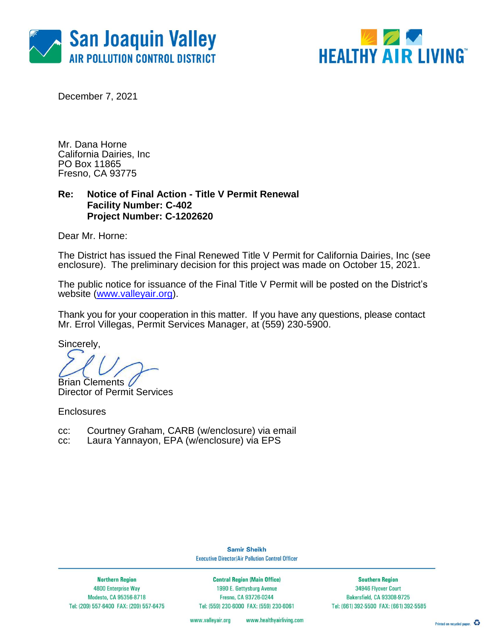



December 7, 2021

Mr. Dana Horne California Dairies, Inc PO Box 11865 Fresno, CA 93775

### **Re: Notice of Final Action - Title V Permit Renewal Facility Number: C-402 Project Number: C-1202620**

Dear Mr. Horne:

The District has issued the Final Renewed Title V Permit for California Dairies, Inc (see enclosure). The preliminary decision for this project was made on October 15, 2021.

The public notice for issuance of the Final Title V Permit will be posted on the District's website [\(www.valleyair.org\)](http://www.valleyair.org/).

Thank you for your cooperation in this matter. If you have any questions, please contact Mr. Errol Villegas, Permit Services Manager, at (559) 230-5900.

Sincerely,

Brian Clements

Director of Permit Services

**Enclosures** 

- cc: Courtney Graham, CARB (w/enclosure) via email
- cc: Laura Yannayon, EPA (w/enclosure) via EPS

**Samir Sheikh Executive Director/Air Pollution Control Officer** 

**Northern Region** 4800 Enterprise Way Modesto, CA 95356-8718 Tel: (209) 557-6400 FAX: (209) 557-6475

**Central Region (Main Office)** 1990 E. Gettysburg Avenue Fresno, CA 93726-0244 Tel: (559) 230-6000 FAX: (559) 230-6061

**Southern Region** 34946 Flyover Court Bakersfield, CA 93308-9725 Tel: (661) 392-5500 FAX: (661) 392-5585

www.valleyair.org www.healthyairliving.com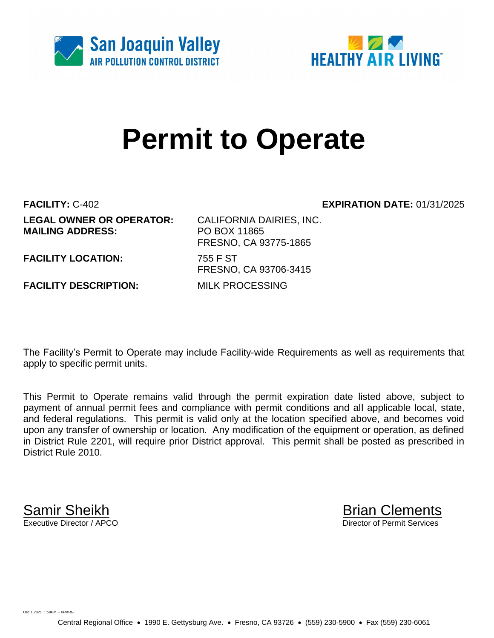



# **Permit to Operate**

**LEGAL OWNER OR OPERATOR:** CALIFORNIA DAIRIES, INC. **MAILING ADDRESS:** PO BOX 11865

**FACILITY:** C-402 **EXPIRATION DATE:** 01/31/2025

FRESNO, CA 93775-1865 FRESNO, CA 93706-3415

**FACILITY LOCATION:** 755 F ST

**FACILITY DESCRIPTION:** MILK PROCESSING

The Facility's Permit to Operate may include Facility-wide Requirements as well as requirements that apply to specific permit units.

This Permit to Operate remains valid through the permit expiration date listed above, subject to payment of annual permit fees and compliance with permit conditions and all applicable local, state, and federal regulations. This permit is valid only at the location specified above, and becomes void upon any transfer of ownership or location. Any modification of the equipment or operation, as defined in District Rule 2201, will require prior District approval. This permit shall be posted as prescribed in District Rule 2010.

**Samir Sheikh**<br>Executive Director / APCO

Director of Permit Services

Dec 1 2021 1:58PM -- BRARG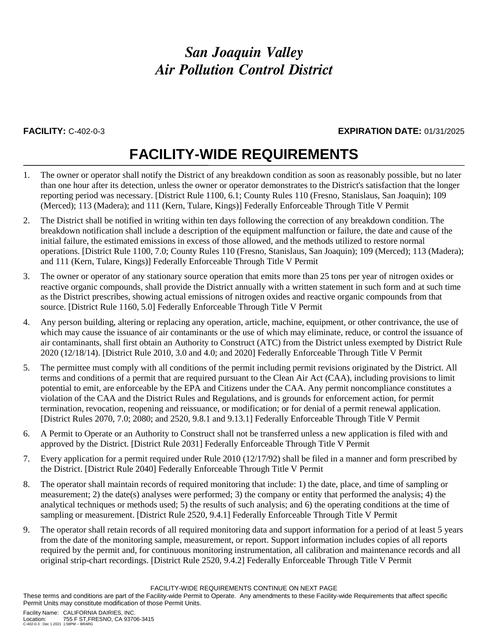### **FACILITY:** C-402-0-3 **EXPIRATION DATE:** 01/31/2025

## **FACILITY-WIDE REQUIREMENTS**

- 1. The owner or operator shall notify the District of any breakdown condition as soon as reasonably possible, but no later than one hour after its detection, unless the owner or operator demonstrates to the District's satisfaction that the longer reporting period was necessary. [District Rule 1100, 6.1; County Rules 110 (Fresno, Stanislaus, San Joaquin); 109 (Merced); 113 (Madera); and 111 (Kern, Tulare, Kings)] Federally Enforceable Through Title V Permit
- 2. The District shall be notified in writing within ten days following the correction of any breakdown condition. The breakdown notification shall include a description of the equipment malfunction or failure, the date and cause of the initial failure, the estimated emissions in excess of those allowed, and the methods utilized to restore normal operations. [District Rule 1100, 7.0; County Rules 110 (Fresno, Stanislaus, San Joaquin); 109 (Merced); 113 (Madera); and 111 (Kern, Tulare, Kings)] Federally Enforceable Through Title V Permit
- 3. The owner or operator of any stationary source operation that emits more than 25 tons per year of nitrogen oxides or reactive organic compounds, shall provide the District annually with a written statement in such form and at such time as the District prescribes, showing actual emissions of nitrogen oxides and reactive organic compounds from that source. [District Rule 1160, 5.0] Federally Enforceable Through Title V Permit
- 4. Any person building, altering or replacing any operation, article, machine, equipment, or other contrivance, the use of which may cause the issuance of air contaminants or the use of which may eliminate, reduce, or control the issuance of air contaminants, shall first obtain an Authority to Construct (ATC) from the District unless exempted by District Rule 2020 (12/18/14). [District Rule 2010, 3.0 and 4.0; and 2020] Federally Enforceable Through Title V Permit
- 5. The permittee must comply with all conditions of the permit including permit revisions originated by the District. All terms and conditions of a permit that are required pursuant to the Clean Air Act (CAA), including provisions to limit potential to emit, are enforceable by the EPA and Citizens under the CAA. Any permit noncompliance constitutes a violation of the CAA and the District Rules and Regulations, and is grounds for enforcement action, for permit termination, revocation, reopening and reissuance, or modification; or for denial of a permit renewal application. [District Rules 2070, 7.0; 2080; and 2520, 9.8.1 and 9.13.1] Federally Enforceable Through Title V Permit
- 6. A Permit to Operate or an Authority to Construct shall not be transferred unless a new application is filed with and approved by the District. [District Rule 2031] Federally Enforceable Through Title V Permit
- 7. Every application for a permit required under Rule 2010 (12/17/92) shall be filed in a manner and form prescribed by the District. [District Rule 2040] Federally Enforceable Through Title V Permit
- 8. The operator shall maintain records of required monitoring that include: 1) the date, place, and time of sampling or measurement; 2) the date(s) analyses were performed; 3) the company or entity that performed the analysis; 4) the analytical techniques or methods used; 5) the results of such analysis; and 6) the operating conditions at the time of sampling or measurement. [District Rule 2520, 9.4.1] Federally Enforceable Through Title V Permit
- 9. The operator shall retain records of all required monitoring data and support information for a period of at least 5 years from the date of the monitoring sample, measurement, or report. Support information includes copies of all reports required by the permit and, for continuous monitoring instrumentation, all calibration and maintenance records and all original strip-chart recordings. [District Rule 2520, 9.4.2] Federally Enforceable Through Title V Permit

FACILITY-WIDE REQUIREMENTS CONTINUE ON NEXT PAGE

These terms and conditions are part of the Facility-wide Permit to Operate. Any amendments to these Facility-wide Requirements that affect specific Permit Units may constitute modification of those Permit Units.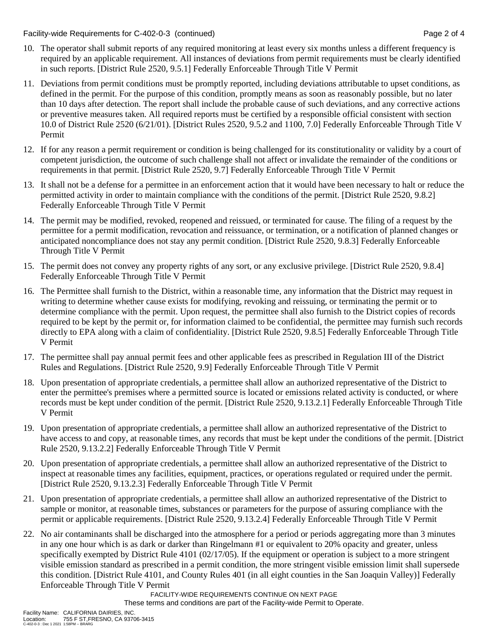Facility-wide Requirements for C-402-0-3 (continued) Page 2 of 4

- 10. The operator shall submit reports of any required monitoring at least every six months unless a different frequency is required by an applicable requirement. All instances of deviations from permit requirements must be clearly identified in such reports. [District Rule 2520, 9.5.1] Federally Enforceable Through Title V Permit
- 11. Deviations from permit conditions must be promptly reported, including deviations attributable to upset conditions, as defined in the permit. For the purpose of this condition, promptly means as soon as reasonably possible, but no later than 10 days after detection. The report shall include the probable cause of such deviations, and any corrective actions or preventive measures taken. All required reports must be certified by a responsible official consistent with section 10.0 of District Rule 2520 (6/21/01). [District Rules 2520, 9.5.2 and 1100, 7.0] Federally Enforceable Through Title V Permit
- 12. If for any reason a permit requirement or condition is being challenged for its constitutionality or validity by a court of competent jurisdiction, the outcome of such challenge shall not affect or invalidate the remainder of the conditions or requirements in that permit. [District Rule 2520, 9.7] Federally Enforceable Through Title V Permit
- 13. It shall not be a defense for a permittee in an enforcement action that it would have been necessary to halt or reduce the permitted activity in order to maintain compliance with the conditions of the permit. [District Rule 2520, 9.8.2] Federally Enforceable Through Title V Permit
- 14. The permit may be modified, revoked, reopened and reissued, or terminated for cause. The filing of a request by the permittee for a permit modification, revocation and reissuance, or termination, or a notification of planned changes or anticipated noncompliance does not stay any permit condition. [District Rule 2520, 9.8.3] Federally Enforceable Through Title V Permit
- 15. The permit does not convey any property rights of any sort, or any exclusive privilege. [District Rule 2520, 9.8.4] Federally Enforceable Through Title V Permit
- 16. The Permittee shall furnish to the District, within a reasonable time, any information that the District may request in writing to determine whether cause exists for modifying, revoking and reissuing, or terminating the permit or to determine compliance with the permit. Upon request, the permittee shall also furnish to the District copies of records required to be kept by the permit or, for information claimed to be confidential, the permittee may furnish such records directly to EPA along with a claim of confidentiality. [District Rule 2520, 9.8.5] Federally Enforceable Through Title V Permit
- 17. The permittee shall pay annual permit fees and other applicable fees as prescribed in Regulation III of the District Rules and Regulations. [District Rule 2520, 9.9] Federally Enforceable Through Title V Permit
- 18. Upon presentation of appropriate credentials, a permittee shall allow an authorized representative of the District to enter the permittee's premises where a permitted source is located or emissions related activity is conducted, or where records must be kept under condition of the permit. [District Rule 2520, 9.13.2.1] Federally Enforceable Through Title V Permit
- 19. Upon presentation of appropriate credentials, a permittee shall allow an authorized representative of the District to have access to and copy, at reasonable times, any records that must be kept under the conditions of the permit. [District Rule 2520, 9.13.2.2] Federally Enforceable Through Title V Permit
- 20. Upon presentation of appropriate credentials, a permittee shall allow an authorized representative of the District to inspect at reasonable times any facilities, equipment, practices, or operations regulated or required under the permit. [District Rule 2520, 9.13.2.3] Federally Enforceable Through Title V Permit
- 21. Upon presentation of appropriate credentials, a permittee shall allow an authorized representative of the District to sample or monitor, at reasonable times, substances or parameters for the purpose of assuring compliance with the permit or applicable requirements. [District Rule 2520, 9.13.2.4] Federally Enforceable Through Title V Permit
- 22. No air contaminants shall be discharged into the atmosphere for a period or periods aggregating more than 3 minutes in any one hour which is as dark or darker than Ringelmann #1 or equivalent to 20% opacity and greater, unless specifically exempted by District Rule 4101 (02/17/05). If the equipment or operation is subject to a more stringent visible emission standard as prescribed in a permit condition, the more stringent visible emission limit shall supersede this condition. [District Rule 4101, and County Rules 401 (in all eight counties in the San Joaquin Valley)] Federally Enforceable Through Title V Permit

FACILITY-WIDE REQUIREMENTS CONTINUE ON NEXT PAGE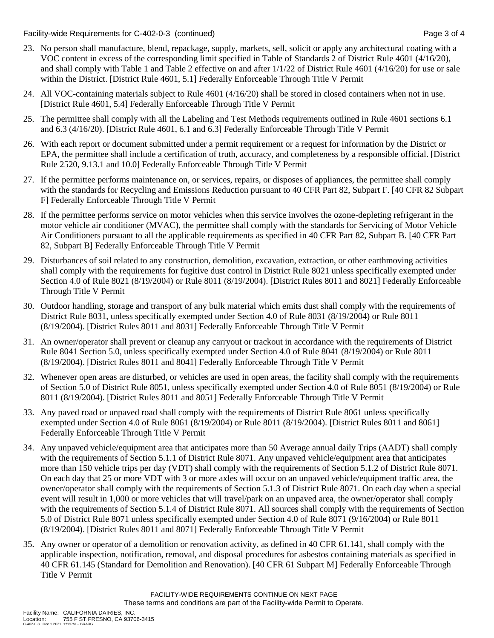Facility-wide Requirements for C-402-0-3 (continued) Page 3 of 4

- 23. No person shall manufacture, blend, repackage, supply, markets, sell, solicit or apply any architectural coating with a VOC content in excess of the corresponding limit specified in Table of Standards 2 of District Rule 4601 (4/16/20), and shall comply with Table 1 and Table 2 effective on and after 1/1/22 of District Rule 4601 (4/16/20) for use or sale within the District. [District Rule 4601, 5.1] Federally Enforceable Through Title V Permit
- 24. All VOC-containing materials subject to Rule 4601 (4/16/20) shall be stored in closed containers when not in use. [District Rule 4601, 5.4] Federally Enforceable Through Title V Permit
- 25. The permittee shall comply with all the Labeling and Test Methods requirements outlined in Rule 4601 sections 6.1 and 6.3 (4/16/20). [District Rule 4601, 6.1 and 6.3] Federally Enforceable Through Title V Permit
- 26. With each report or document submitted under a permit requirement or a request for information by the District or EPA, the permittee shall include a certification of truth, accuracy, and completeness by a responsible official. [District Rule 2520, 9.13.1 and 10.0] Federally Enforceable Through Title V Permit
- 27. If the permittee performs maintenance on, or services, repairs, or disposes of appliances, the permittee shall comply with the standards for Recycling and Emissions Reduction pursuant to 40 CFR Part 82, Subpart F. [40 CFR 82 Subpart F] Federally Enforceable Through Title V Permit
- 28. If the permittee performs service on motor vehicles when this service involves the ozone-depleting refrigerant in the motor vehicle air conditioner (MVAC), the permittee shall comply with the standards for Servicing of Motor Vehicle Air Conditioners pursuant to all the applicable requirements as specified in 40 CFR Part 82, Subpart B. [40 CFR Part 82, Subpart B] Federally Enforceable Through Title V Permit
- 29. Disturbances of soil related to any construction, demolition, excavation, extraction, or other earthmoving activities shall comply with the requirements for fugitive dust control in District Rule 8021 unless specifically exempted under Section 4.0 of Rule 8021 (8/19/2004) or Rule 8011 (8/19/2004). [District Rules 8011 and 8021] Federally Enforceable Through Title V Permit
- 30. Outdoor handling, storage and transport of any bulk material which emits dust shall comply with the requirements of District Rule 8031, unless specifically exempted under Section 4.0 of Rule 8031 (8/19/2004) or Rule 8011 (8/19/2004). [District Rules 8011 and 8031] Federally Enforceable Through Title V Permit
- 31. An owner/operator shall prevent or cleanup any carryout or trackout in accordance with the requirements of District Rule 8041 Section 5.0, unless specifically exempted under Section 4.0 of Rule 8041 (8/19/2004) or Rule 8011 (8/19/2004). [District Rules 8011 and 8041] Federally Enforceable Through Title V Permit
- 32. Whenever open areas are disturbed, or vehicles are used in open areas, the facility shall comply with the requirements of Section 5.0 of District Rule 8051, unless specifically exempted under Section 4.0 of Rule 8051 (8/19/2004) or Rule 8011 (8/19/2004). [District Rules 8011 and 8051] Federally Enforceable Through Title V Permit
- 33. Any paved road or unpaved road shall comply with the requirements of District Rule 8061 unless specifically exempted under Section 4.0 of Rule 8061 (8/19/2004) or Rule 8011 (8/19/2004). [District Rules 8011 and 8061] Federally Enforceable Through Title V Permit
- 34. Any unpaved vehicle/equipment area that anticipates more than 50 Average annual daily Trips (AADT) shall comply with the requirements of Section 5.1.1 of District Rule 8071. Any unpaved vehicle/equipment area that anticipates more than 150 vehicle trips per day (VDT) shall comply with the requirements of Section 5.1.2 of District Rule 8071. On each day that 25 or more VDT with 3 or more axles will occur on an unpaved vehicle/equipment traffic area, the owner/operator shall comply with the requirements of Section 5.1.3 of District Rule 8071. On each day when a special event will result in 1,000 or more vehicles that will travel/park on an unpaved area, the owner/operator shall comply with the requirements of Section 5.1.4 of District Rule 8071. All sources shall comply with the requirements of Section 5.0 of District Rule 8071 unless specifically exempted under Section 4.0 of Rule 8071 (9/16/2004) or Rule 8011 (8/19/2004). [District Rules 8011 and 8071] Federally Enforceable Through Title V Permit
- 35. Any owner or operator of a demolition or renovation activity, as defined in 40 CFR 61.141, shall comply with the applicable inspection, notification, removal, and disposal procedures for asbestos containing materials as specified in 40 CFR 61.145 (Standard for Demolition and Renovation). [40 CFR 61 Subpart M] Federally Enforceable Through Title V Permit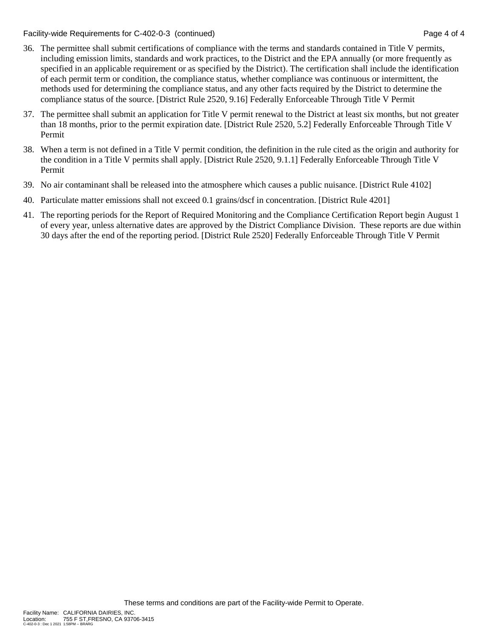Facility-wide Requirements for C-402-0-3 (continued) Page 4 of 4

- 36. The permittee shall submit certifications of compliance with the terms and standards contained in Title V permits, including emission limits, standards and work practices, to the District and the EPA annually (or more frequently as specified in an applicable requirement or as specified by the District). The certification shall include the identification of each permit term or condition, the compliance status, whether compliance was continuous or intermittent, the methods used for determining the compliance status, and any other facts required by the District to determine the compliance status of the source. [District Rule 2520, 9.16] Federally Enforceable Through Title V Permit
- 37. The permittee shall submit an application for Title V permit renewal to the District at least six months, but not greater than 18 months, prior to the permit expiration date. [District Rule 2520, 5.2] Federally Enforceable Through Title V Permit
- 38. When a term is not defined in a Title V permit condition, the definition in the rule cited as the origin and authority for the condition in a Title V permits shall apply. [District Rule 2520, 9.1.1] Federally Enforceable Through Title V Permit
- 39. No air contaminant shall be released into the atmosphere which causes a public nuisance. [District Rule 4102]
- 40. Particulate matter emissions shall not exceed 0.1 grains/dscf in concentration. [District Rule 4201]
- 41. The reporting periods for the Report of Required Monitoring and the Compliance Certification Report begin August 1 of every year, unless alternative dates are approved by the District Compliance Division. These reports are due within 30 days after the end of the reporting period. [District Rule 2520] Federally Enforceable Through Title V Permit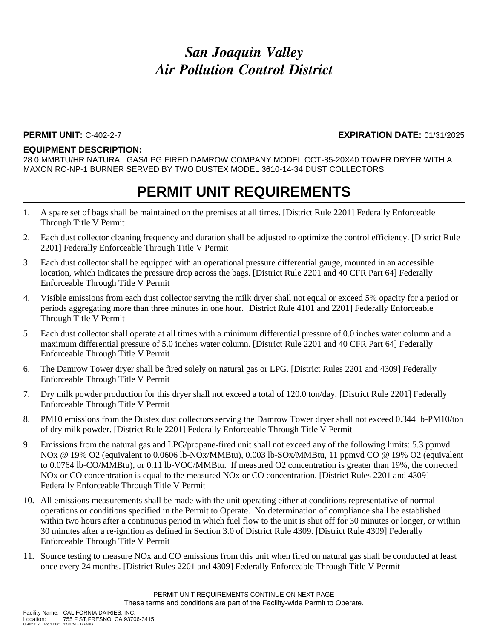### **PERMIT UNIT:** C-402-2-7 **EXPIRATION DATE:** 01/31/2025

#### **EQUIPMENT DESCRIPTION:**

28.0 MMBTU/HR NATURAL GAS/LPG FIRED DAMROW COMPANY MODEL CCT-85-20X40 TOWER DRYER WITH A MAXON RC-NP-1 BURNER SERVED BY TWO DUSTEX MODEL 3610-14-34 DUST COLLECTORS

- 1. A spare set of bags shall be maintained on the premises at all times. [District Rule 2201] Federally Enforceable Through Title V Permit
- 2. Each dust collector cleaning frequency and duration shall be adjusted to optimize the control efficiency. [District Rule 2201] Federally Enforceable Through Title V Permit
- 3. Each dust collector shall be equipped with an operational pressure differential gauge, mounted in an accessible location, which indicates the pressure drop across the bags. [District Rule 2201 and 40 CFR Part 64] Federally Enforceable Through Title V Permit
- 4. Visible emissions from each dust collector serving the milk dryer shall not equal or exceed 5% opacity for a period or periods aggregating more than three minutes in one hour. [District Rule 4101 and 2201] Federally Enforceable Through Title V Permit
- 5. Each dust collector shall operate at all times with a minimum differential pressure of 0.0 inches water column and a maximum differential pressure of 5.0 inches water column. [District Rule 2201 and 40 CFR Part 64] Federally Enforceable Through Title V Permit
- 6. The Damrow Tower dryer shall be fired solely on natural gas or LPG. [District Rules 2201 and 4309] Federally Enforceable Through Title V Permit
- 7. Dry milk powder production for this dryer shall not exceed a total of 120.0 ton/day. [District Rule 2201] Federally Enforceable Through Title V Permit
- 8. PM10 emissions from the Dustex dust collectors serving the Damrow Tower dryer shall not exceed 0.344 lb-PM10/ton of dry milk powder. [District Rule 2201] Federally Enforceable Through Title V Permit
- 9. Emissions from the natural gas and LPG/propane-fired unit shall not exceed any of the following limits: 5.3 ppmvd NOx @ 19% O2 (equivalent to 0.0606 lb-NOx/MMBtu), 0.003 lb-SOx/MMBtu, 11 ppmvd CO @ 19% O2 (equivalent to 0.0764 lb-CO/MMBtu), or 0.11 lb-VOC/MMBtu. If measured O2 concentration is greater than 19%, the corrected NOx or CO concentration is equal to the measured NOx or CO concentration. [District Rules 2201 and 4309] Federally Enforceable Through Title V Permit
- 10. All emissions measurements shall be made with the unit operating either at conditions representative of normal operations or conditions specified in the Permit to Operate. No determination of compliance shall be established within two hours after a continuous period in which fuel flow to the unit is shut off for 30 minutes or longer, or within 30 minutes after a re-ignition as defined in Section 3.0 of District Rule 4309. [District Rule 4309] Federally Enforceable Through Title V Permit
- 11. Source testing to measure NOx and CO emissions from this unit when fired on natural gas shall be conducted at least once every 24 months. [District Rules 2201 and 4309] Federally Enforceable Through Title V Permit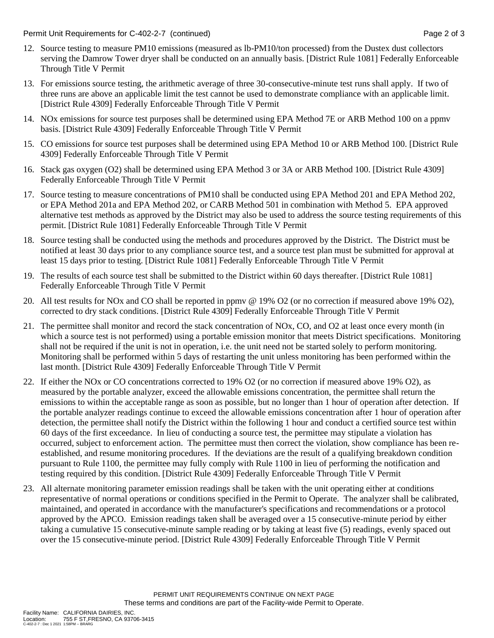Permit Unit Requirements for C-402-2-7 (continued) **Page 2** of 3

- 12. Source testing to measure PM10 emissions (measured as lb-PM10/ton processed) from the Dustex dust collectors serving the Damrow Tower dryer shall be conducted on an annually basis. [District Rule 1081] Federally Enforceable Through Title V Permit
- 13. For emissions source testing, the arithmetic average of three 30-consecutive-minute test runs shall apply. If two of three runs are above an applicable limit the test cannot be used to demonstrate compliance with an applicable limit. [District Rule 4309] Federally Enforceable Through Title V Permit
- 14. NOx emissions for source test purposes shall be determined using EPA Method 7E or ARB Method 100 on a ppmv basis. [District Rule 4309] Federally Enforceable Through Title V Permit
- 15. CO emissions for source test purposes shall be determined using EPA Method 10 or ARB Method 100. [District Rule 4309] Federally Enforceable Through Title V Permit
- 16. Stack gas oxygen (O2) shall be determined using EPA Method 3 or 3A or ARB Method 100. [District Rule 4309] Federally Enforceable Through Title V Permit
- 17. Source testing to measure concentrations of PM10 shall be conducted using EPA Method 201 and EPA Method 202, or EPA Method 201a and EPA Method 202, or CARB Method 501 in combination with Method 5. EPA approved alternative test methods as approved by the District may also be used to address the source testing requirements of this permit. [District Rule 1081] Federally Enforceable Through Title V Permit
- 18. Source testing shall be conducted using the methods and procedures approved by the District. The District must be notified at least 30 days prior to any compliance source test, and a source test plan must be submitted for approval at least 15 days prior to testing. [District Rule 1081] Federally Enforceable Through Title V Permit
- 19. The results of each source test shall be submitted to the District within 60 days thereafter. [District Rule 1081] Federally Enforceable Through Title V Permit
- 20. All test results for NOx and CO shall be reported in ppmv @ 19% O2 (or no correction if measured above 19% O2), corrected to dry stack conditions. [District Rule 4309] Federally Enforceable Through Title V Permit
- 21. The permittee shall monitor and record the stack concentration of NOx, CO, and O2 at least once every month (in which a source test is not performed) using a portable emission monitor that meets District specifications. Monitoring shall not be required if the unit is not in operation, i.e. the unit need not be started solely to perform monitoring. Monitoring shall be performed within 5 days of restarting the unit unless monitoring has been performed within the last month. [District Rule 4309] Federally Enforceable Through Title V Permit
- 22. If either the NOx or CO concentrations corrected to 19% O2 (or no correction if measured above 19% O2), as measured by the portable analyzer, exceed the allowable emissions concentration, the permittee shall return the emissions to within the acceptable range as soon as possible, but no longer than 1 hour of operation after detection. If the portable analyzer readings continue to exceed the allowable emissions concentration after 1 hour of operation after detection, the permittee shall notify the District within the following 1 hour and conduct a certified source test within 60 days of the first exceedance. In lieu of conducting a source test, the permittee may stipulate a violation has occurred, subject to enforcement action. The permittee must then correct the violation, show compliance has been reestablished, and resume monitoring procedures. If the deviations are the result of a qualifying breakdown condition pursuant to Rule 1100, the permittee may fully comply with Rule 1100 in lieu of performing the notification and testing required by this condition. [District Rule 4309] Federally Enforceable Through Title V Permit
- 23. All alternate monitoring parameter emission readings shall be taken with the unit operating either at conditions representative of normal operations or conditions specified in the Permit to Operate. The analyzer shall be calibrated, maintained, and operated in accordance with the manufacturer's specifications and recommendations or a protocol approved by the APCO. Emission readings taken shall be averaged over a 15 consecutive-minute period by either taking a cumulative 15 consecutive-minute sample reading or by taking at least five (5) readings, evenly spaced out over the 15 consecutive-minute period. [District Rule 4309] Federally Enforceable Through Title V Permit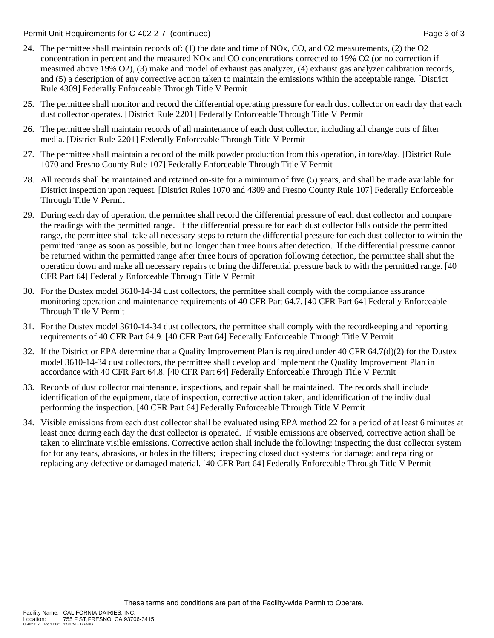Permit Unit Requirements for C-402-2-7 (continued) example 3 of 3 and 2 of 3 and 3 of 3

- 24. The permittee shall maintain records of: (1) the date and time of NOx, CO, and O2 measurements, (2) the O2 concentration in percent and the measured NOx and CO concentrations corrected to 19% O2 (or no correction if measured above 19% O2), (3) make and model of exhaust gas analyzer, (4) exhaust gas analyzer calibration records, and (5) a description of any corrective action taken to maintain the emissions within the acceptable range. [District Rule 4309] Federally Enforceable Through Title V Permit
- 25. The permittee shall monitor and record the differential operating pressure for each dust collector on each day that each dust collector operates. [District Rule 2201] Federally Enforceable Through Title V Permit
- 26. The permittee shall maintain records of all maintenance of each dust collector, including all change outs of filter media. [District Rule 2201] Federally Enforceable Through Title V Permit
- 27. The permittee shall maintain a record of the milk powder production from this operation, in tons/day. [District Rule 1070 and Fresno County Rule 107] Federally Enforceable Through Title V Permit
- 28. All records shall be maintained and retained on-site for a minimum of five (5) years, and shall be made available for District inspection upon request. [District Rules 1070 and 4309 and Fresno County Rule 107] Federally Enforceable Through Title V Permit
- 29. During each day of operation, the permittee shall record the differential pressure of each dust collector and compare the readings with the permitted range. If the differential pressure for each dust collector falls outside the permitted range, the permittee shall take all necessary steps to return the differential pressure for each dust collector to within the permitted range as soon as possible, but no longer than three hours after detection. If the differential pressure cannot be returned within the permitted range after three hours of operation following detection, the permittee shall shut the operation down and make all necessary repairs to bring the differential pressure back to with the permitted range. [40 CFR Part 64] Federally Enforceable Through Title V Permit
- 30. For the Dustex model 3610-14-34 dust collectors, the permittee shall comply with the compliance assurance monitoring operation and maintenance requirements of 40 CFR Part 64.7. [40 CFR Part 64] Federally Enforceable Through Title V Permit
- 31. For the Dustex model 3610-14-34 dust collectors, the permittee shall comply with the recordkeeping and reporting requirements of 40 CFR Part 64.9. [40 CFR Part 64] Federally Enforceable Through Title V Permit
- 32. If the District or EPA determine that a Quality Improvement Plan is required under  $40 \text{ CFR } 64.7\text{(d)}(2)$  for the Dustex model 3610-14-34 dust collectors, the permittee shall develop and implement the Quality Improvement Plan in accordance with 40 CFR Part 64.8. [40 CFR Part 64] Federally Enforceable Through Title V Permit
- 33. Records of dust collector maintenance, inspections, and repair shall be maintained. The records shall include identification of the equipment, date of inspection, corrective action taken, and identification of the individual performing the inspection. [40 CFR Part 64] Federally Enforceable Through Title V Permit
- 34. Visible emissions from each dust collector shall be evaluated using EPA method 22 for a period of at least 6 minutes at least once during each day the dust collector is operated. If visible emissions are observed, corrective action shall be taken to eliminate visible emissions. Corrective action shall include the following: inspecting the dust collector system for for any tears, abrasions, or holes in the filters; inspecting closed duct systems for damage; and repairing or replacing any defective or damaged material. [40 CFR Part 64] Federally Enforceable Through Title V Permit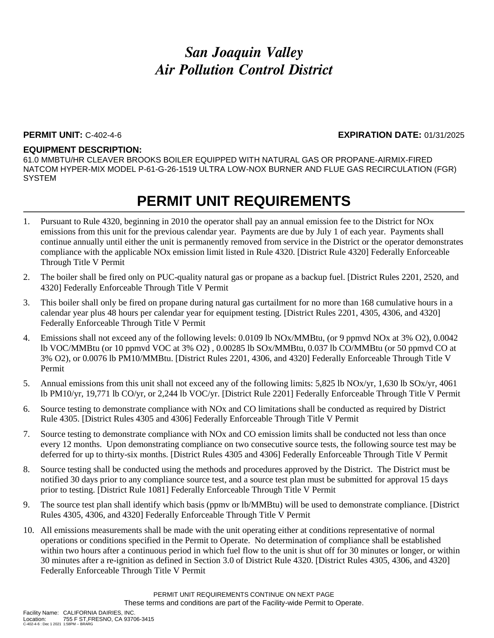### **PERMIT UNIT:** C-402-4-6 **EXPIRATION DATE:** 01/31/2025

#### **EQUIPMENT DESCRIPTION:**

61.0 MMBTU/HR CLEAVER BROOKS BOILER EQUIPPED WITH NATURAL GAS OR PROPANE-AIRMIX-FIRED NATCOM HYPER-MIX MODEL P-61-G-26-1519 ULTRA LOW-NOX BURNER AND FLUE GAS RECIRCULATION (FGR) **SYSTEM** 

- 1. Pursuant to Rule 4320, beginning in 2010 the operator shall pay an annual emission fee to the District for NOx emissions from this unit for the previous calendar year. Payments are due by July 1 of each year. Payments shall continue annually until either the unit is permanently removed from service in the District or the operator demonstrates compliance with the applicable NOx emission limit listed in Rule 4320. [District Rule 4320] Federally Enforceable Through Title V Permit
- 2. The boiler shall be fired only on PUC-quality natural gas or propane as a backup fuel. [District Rules 2201, 2520, and 4320] Federally Enforceable Through Title V Permit
- 3. This boiler shall only be fired on propane during natural gas curtailment for no more than 168 cumulative hours in a calendar year plus 48 hours per calendar year for equipment testing. [District Rules 2201, 4305, 4306, and 4320] Federally Enforceable Through Title V Permit
- 4. Emissions shall not exceed any of the following levels: 0.0109 lb NOx/MMBtu, (or 9 ppmvd NOx at 3% O2), 0.0042 lb VOC/MMBtu (or 10 ppmvd VOC at 3% O2) , 0.00285 lb SOx/MMBtu, 0.037 lb CO/MMBtu (or 50 ppmvd CO at 3% O2), or 0.0076 lb PM10/MMBtu. [District Rules 2201, 4306, and 4320] Federally Enforceable Through Title V Permit
- 5. Annual emissions from this unit shall not exceed any of the following limits: 5,825 lb NOx/yr, 1,630 lb SOx/yr, 4061 lb PM10/yr, 19,771 lb CO/yr, or 2,244 lb VOC/yr. [District Rule 2201] Federally Enforceable Through Title V Permit
- 6. Source testing to demonstrate compliance with NOx and CO limitations shall be conducted as required by District Rule 4305. [District Rules 4305 and 4306] Federally Enforceable Through Title V Permit
- 7. Source testing to demonstrate compliance with NOx and CO emission limits shall be conducted not less than once every 12 months. Upon demonstrating compliance on two consecutive source tests, the following source test may be deferred for up to thirty-six months. [District Rules 4305 and 4306] Federally Enforceable Through Title V Permit
- 8. Source testing shall be conducted using the methods and procedures approved by the District. The District must be notified 30 days prior to any compliance source test, and a source test plan must be submitted for approval 15 days prior to testing. [District Rule 1081] Federally Enforceable Through Title V Permit
- 9. The source test plan shall identify which basis (ppmv or lb/MMBtu) will be used to demonstrate compliance. [District Rules 4305, 4306, and 4320] Federally Enforceable Through Title V Permit
- 10. All emissions measurements shall be made with the unit operating either at conditions representative of normal operations or conditions specified in the Permit to Operate. No determination of compliance shall be established within two hours after a continuous period in which fuel flow to the unit is shut off for 30 minutes or longer, or within 30 minutes after a re-ignition as defined in Section 3.0 of District Rule 4320. [District Rules 4305, 4306, and 4320] Federally Enforceable Through Title V Permit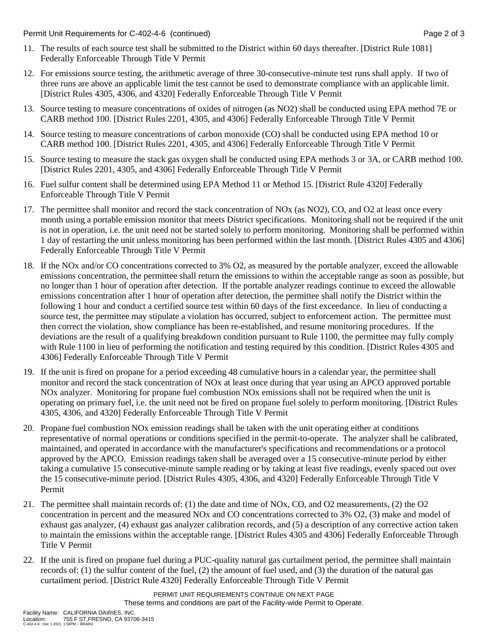Permit Unit Requirements for C-402-4-6 (continued) **Page 2** of 3

- 11. The results of each source test shall be submitted to the District within 60 days thereafter. [District Rule 1081] Federally Enforceable Through Title V Permit
- 12. For emissions source testing, the arithmetic average of three 30-consecutive-minute test runs shall apply. If two of three runs are above an applicable limit the test cannot be used to demonstrate compliance with an applicable limit. [District Rules 4305, 4306, and 4320] Federally Enforceable Through Title V Permit
- 13. Source testing to measure concentrations of oxides of nitrogen (as NO2) shall be conducted using EPA method 7E or CARB method 100. [District Rules 2201, 4305, and 4306] Federally Enforceable Through Title V Permit
- 14. Source testing to measure concentrations of carbon monoxide (CO) shall be conducted using EPA method 10 or CARB method 100. [District Rules 2201, 4305, and 4306] Federally Enforceable Through Title V Permit
- 15. Source testing to measure the stack gas oxygen shall be conducted using EPA methods 3 or 3A, or CARB method 100. [District Rules 2201, 4305, and 4306] Federally Enforceable Through Title V Permit
- 16. Fuel sulfur content shall be determined using EPA Method 11 or Method 15. [District Rule 4320] Federally Enforceable Through Title V Permit
- 17. The permittee shall monitor and record the stack concentration of NOx (as NO2), CO, and O2 at least once every month using a portable emission monitor that meets District specifications. Monitoring shall not be required if the unit is not in operation, i.e. the unit need not be started solely to perform monitoring. Monitoring shall be performed within 1 day of restarting the unit unless monitoring has been performed within the last month. [District Rules 4305 and 4306] Federally Enforceable Through Title V Permit
- 18. If the NOx and/or CO concentrations corrected to 3% O2, as measured by the portable analyzer, exceed the allowable emissions concentration, the permittee shall return the emissions to within the acceptable range as soon as possible, but no longer than 1 hour of operation after detection. If the portable analyzer readings continue to exceed the allowable emissions concentration after 1 hour of operation after detection, the permittee shall notify the District within the following 1 hour and conduct a certified source test within 60 days of the first exceedance. In lieu of conducting a source test, the permittee may stipulate a violation has occurred, subject to enforcement action. The permittee must then correct the violation, show compliance has been re-established, and resume monitoring procedures. If the deviations are the result of a qualifying breakdown condition pursuant to Rule 1100, the permittee may fully comply with Rule 1100 in lieu of performing the notification and testing required by this condition. [District Rules 4305 and 4306] Federally Enforceable Through Title V Permit
- 19. If the unit is fired on propane for a period exceeding 48 cumulative hours in a calendar year, the permittee shall monitor and record the stack concentration of NOx at least once during that year using an APCO approved portable NOx analyzer. Monitoring for propane fuel combustion NOx emissions shall not be required when the unit is operating on primary fuel, i.e. the unit need not be fired on propane fuel solely to perform monitoring. [District Rules 4305, 4306, and 4320] Federally Enforceable Through Title V Permit
- 20. Propane fuel combustion NOx emission readings shall be taken with the unit operating either at conditions representative of normal operations or conditions specified in the permit-to-operate. The analyzer shall be calibrated, maintained, and operated in accordance with the manufacturer's specifications and recommendations or a protocol approved by the APCO. Emission readings taken shall be averaged over a 15 consecutive-minute period by either taking a cumulative 15 consecutive-minute sample reading or by taking at least five readings, evenly spaced out over the 15 consecutive-minute period. [District Rules 4305, 4306, and 4320] Federally Enforceable Through Title V Permit
- 21. The permittee shall maintain records of: (1) the date and time of NOx, CO, and O2 measurements, (2) the O2 concentration in percent and the measured NOx and CO concentrations corrected to 3% O2, (3) make and model of exhaust gas analyzer, (4) exhaust gas analyzer calibration records, and (5) a description of any corrective action taken to maintain the emissions within the acceptable range. [District Rules 4305 and 4306] Federally Enforceable Through Title V Permit
- 22. If the unit is fired on propane fuel during a PUC-quality natural gas curtailment period, the permittee shall maintain records of: (1) the sulfur content of the fuel, (2) the amount of fuel used, and (3) the duration of the natural gas curtailment period. [District Rule 4320] Federally Enforceable Through Title V Permit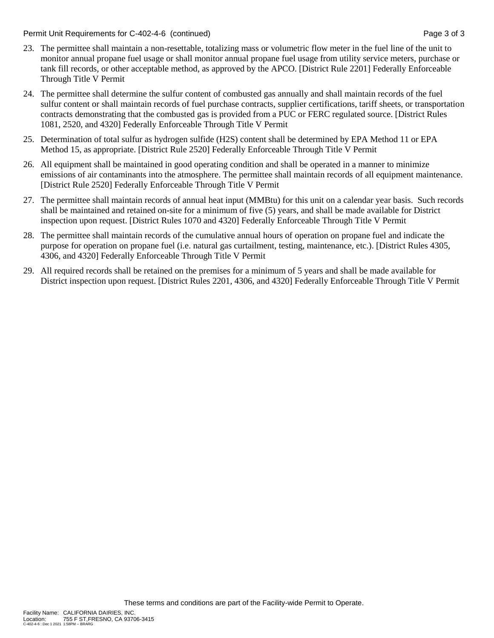Permit Unit Requirements for C-402-4-6 (continued) **Page 3** of 3

- 23. The permittee shall maintain a non-resettable, totalizing mass or volumetric flow meter in the fuel line of the unit to monitor annual propane fuel usage or shall monitor annual propane fuel usage from utility service meters, purchase or tank fill records, or other acceptable method, as approved by the APCO. [District Rule 2201] Federally Enforceable Through Title V Permit
- 24. The permittee shall determine the sulfur content of combusted gas annually and shall maintain records of the fuel sulfur content or shall maintain records of fuel purchase contracts, supplier certifications, tariff sheets, or transportation contracts demonstrating that the combusted gas is provided from a PUC or FERC regulated source. [District Rules 1081, 2520, and 4320] Federally Enforceable Through Title V Permit
- 25. Determination of total sulfur as hydrogen sulfide (H2S) content shall be determined by EPA Method 11 or EPA Method 15, as appropriate. [District Rule 2520] Federally Enforceable Through Title V Permit
- 26. All equipment shall be maintained in good operating condition and shall be operated in a manner to minimize emissions of air contaminants into the atmosphere. The permittee shall maintain records of all equipment maintenance. [District Rule 2520] Federally Enforceable Through Title V Permit
- 27. The permittee shall maintain records of annual heat input (MMBtu) for this unit on a calendar year basis. Such records shall be maintained and retained on-site for a minimum of five (5) years, and shall be made available for District inspection upon request. [District Rules 1070 and 4320] Federally Enforceable Through Title V Permit
- 28. The permittee shall maintain records of the cumulative annual hours of operation on propane fuel and indicate the purpose for operation on propane fuel (i.e. natural gas curtailment, testing, maintenance, etc.). [District Rules 4305, 4306, and 4320] Federally Enforceable Through Title V Permit
- 29. All required records shall be retained on the premises for a minimum of 5 years and shall be made available for District inspection upon request. [District Rules 2201, 4306, and 4320] Federally Enforceable Through Title V Permit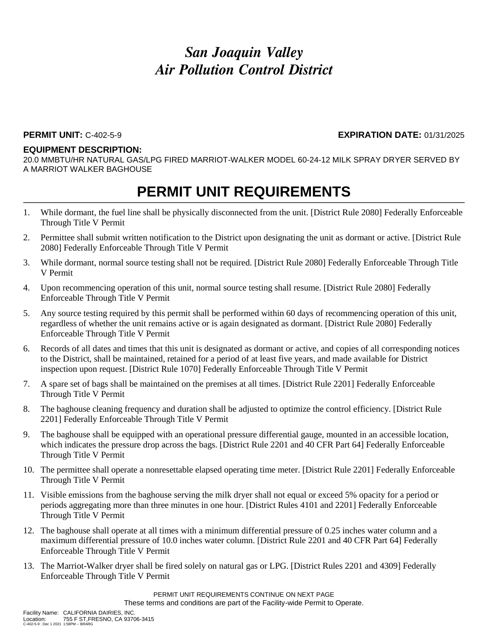### **PERMIT UNIT:** C-402-5-9 **EXPIRATION DATE:** 01/31/2025

#### **EQUIPMENT DESCRIPTION:**

20.0 MMBTU/HR NATURAL GAS/LPG FIRED MARRIOT-WALKER MODEL 60-24-12 MILK SPRAY DRYER SERVED BY A MARRIOT WALKER BAGHOUSE

### **PERMIT UNIT REQUIREMENTS**

- 1. While dormant, the fuel line shall be physically disconnected from the unit. [District Rule 2080] Federally Enforceable Through Title V Permit
- 2. Permittee shall submit written notification to the District upon designating the unit as dormant or active. [District Rule 2080] Federally Enforceable Through Title V Permit
- 3. While dormant, normal source testing shall not be required. [District Rule 2080] Federally Enforceable Through Title V Permit
- 4. Upon recommencing operation of this unit, normal source testing shall resume. [District Rule 2080] Federally Enforceable Through Title V Permit
- 5. Any source testing required by this permit shall be performed within 60 days of recommencing operation of this unit, regardless of whether the unit remains active or is again designated as dormant. [District Rule 2080] Federally Enforceable Through Title V Permit
- 6. Records of all dates and times that this unit is designated as dormant or active, and copies of all corresponding notices to the District, shall be maintained, retained for a period of at least five years, and made available for District inspection upon request. [District Rule 1070] Federally Enforceable Through Title V Permit
- 7. A spare set of bags shall be maintained on the premises at all times. [District Rule 2201] Federally Enforceable Through Title V Permit
- 8. The baghouse cleaning frequency and duration shall be adjusted to optimize the control efficiency. [District Rule 2201] Federally Enforceable Through Title V Permit
- 9. The baghouse shall be equipped with an operational pressure differential gauge, mounted in an accessible location, which indicates the pressure drop across the bags. [District Rule 2201 and 40 CFR Part 64] Federally Enforceable Through Title V Permit
- 10. The permittee shall operate a nonresettable elapsed operating time meter. [District Rule 2201] Federally Enforceable Through Title V Permit
- 11. Visible emissions from the baghouse serving the milk dryer shall not equal or exceed 5% opacity for a period or periods aggregating more than three minutes in one hour. [District Rules 4101 and 2201] Federally Enforceable Through Title V Permit
- 12. The baghouse shall operate at all times with a minimum differential pressure of 0.25 inches water column and a maximum differential pressure of 10.0 inches water column. [District Rule 2201 and 40 CFR Part 64] Federally Enforceable Through Title V Permit
- 13. The Marriot-Walker dryer shall be fired solely on natural gas or LPG. [District Rules 2201 and 4309] Federally Enforceable Through Title V Permit

PERMIT UNIT REQUIREMENTS CONTINUE ON NEXT PAGE These terms and conditions are part of the Facility-wide Permit to Operate.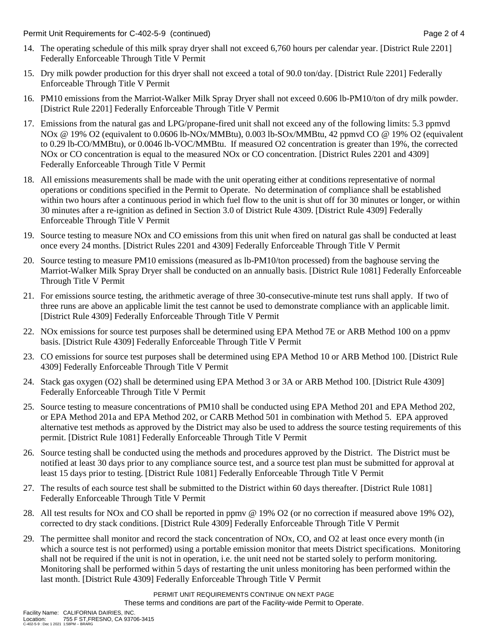Permit Unit Requirements for C-402-5-9 (continued) **Page 2** of 4

- 14. The operating schedule of this milk spray dryer shall not exceed 6,760 hours per calendar year. [District Rule 2201] Federally Enforceable Through Title V Permit
- 15. Dry milk powder production for this dryer shall not exceed a total of 90.0 ton/day. [District Rule 2201] Federally Enforceable Through Title V Permit
- 16. PM10 emissions from the Marriot-Walker Milk Spray Dryer shall not exceed 0.606 lb-PM10/ton of dry milk powder. [District Rule 2201] Federally Enforceable Through Title V Permit
- 17. Emissions from the natural gas and LPG/propane-fired unit shall not exceed any of the following limits: 5.3 ppmvd NOx @ 19% O2 (equivalent to 0.0606 lb-NOx/MMBtu), 0.003 lb-SOx/MMBtu, 42 ppmvd CO @ 19% O2 (equivalent to 0.29 lb-CO/MMBtu), or 0.0046 lb-VOC/MMBtu. If measured O2 concentration is greater than 19%, the corrected NOx or CO concentration is equal to the measured NOx or CO concentration. [District Rules 2201 and 4309] Federally Enforceable Through Title V Permit
- 18. All emissions measurements shall be made with the unit operating either at conditions representative of normal operations or conditions specified in the Permit to Operate. No determination of compliance shall be established within two hours after a continuous period in which fuel flow to the unit is shut off for 30 minutes or longer, or within 30 minutes after a re-ignition as defined in Section 3.0 of District Rule 4309. [District Rule 4309] Federally Enforceable Through Title V Permit
- 19. Source testing to measure NOx and CO emissions from this unit when fired on natural gas shall be conducted at least once every 24 months. [District Rules 2201 and 4309] Federally Enforceable Through Title V Permit
- 20. Source testing to measure PM10 emissions (measured as lb-PM10/ton processed) from the baghouse serving the Marriot-Walker Milk Spray Dryer shall be conducted on an annually basis. [District Rule 1081] Federally Enforceable Through Title V Permit
- 21. For emissions source testing, the arithmetic average of three 30-consecutive-minute test runs shall apply. If two of three runs are above an applicable limit the test cannot be used to demonstrate compliance with an applicable limit. [District Rule 4309] Federally Enforceable Through Title V Permit
- 22. NOx emissions for source test purposes shall be determined using EPA Method 7E or ARB Method 100 on a ppmv basis. [District Rule 4309] Federally Enforceable Through Title V Permit
- 23. CO emissions for source test purposes shall be determined using EPA Method 10 or ARB Method 100. [District Rule 4309] Federally Enforceable Through Title V Permit
- 24. Stack gas oxygen (O2) shall be determined using EPA Method 3 or 3A or ARB Method 100. [District Rule 4309] Federally Enforceable Through Title V Permit
- 25. Source testing to measure concentrations of PM10 shall be conducted using EPA Method 201 and EPA Method 202, or EPA Method 201a and EPA Method 202, or CARB Method 501 in combination with Method 5. EPA approved alternative test methods as approved by the District may also be used to address the source testing requirements of this permit. [District Rule 1081] Federally Enforceable Through Title V Permit
- 26. Source testing shall be conducted using the methods and procedures approved by the District. The District must be notified at least 30 days prior to any compliance source test, and a source test plan must be submitted for approval at least 15 days prior to testing. [District Rule 1081] Federally Enforceable Through Title V Permit
- 27. The results of each source test shall be submitted to the District within 60 days thereafter. [District Rule 1081] Federally Enforceable Through Title V Permit
- 28. All test results for NOx and CO shall be reported in ppmv @ 19% O2 (or no correction if measured above 19% O2), corrected to dry stack conditions. [District Rule 4309] Federally Enforceable Through Title V Permit
- 29. The permittee shall monitor and record the stack concentration of NOx, CO, and O2 at least once every month (in which a source test is not performed) using a portable emission monitor that meets District specifications. Monitoring shall not be required if the unit is not in operation, i.e. the unit need not be started solely to perform monitoring. Monitoring shall be performed within 5 days of restarting the unit unless monitoring has been performed within the last month. [District Rule 4309] Federally Enforceable Through Title V Permit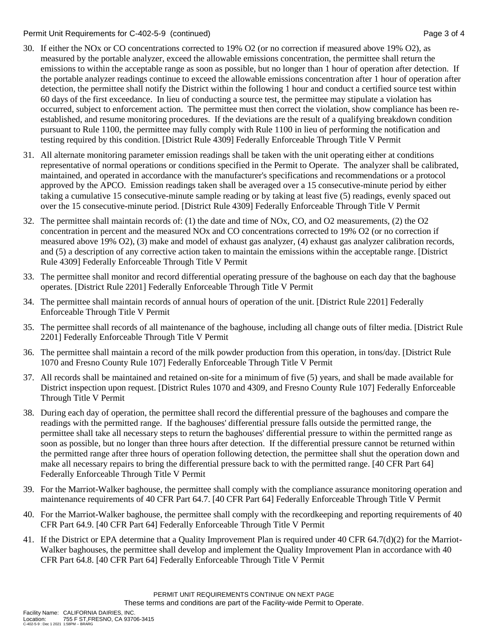### Permit Unit Requirements for C-402-5-9 (continued) Page 3 of 4

- 30. If either the NOx or CO concentrations corrected to 19% O2 (or no correction if measured above 19% O2), as measured by the portable analyzer, exceed the allowable emissions concentration, the permittee shall return the emissions to within the acceptable range as soon as possible, but no longer than 1 hour of operation after detection. If the portable analyzer readings continue to exceed the allowable emissions concentration after 1 hour of operation after detection, the permittee shall notify the District within the following 1 hour and conduct a certified source test within 60 days of the first exceedance. In lieu of conducting a source test, the permittee may stipulate a violation has occurred, subject to enforcement action. The permittee must then correct the violation, show compliance has been reestablished, and resume monitoring procedures. If the deviations are the result of a qualifying breakdown condition pursuant to Rule 1100, the permittee may fully comply with Rule 1100 in lieu of performing the notification and testing required by this condition. [District Rule 4309] Federally Enforceable Through Title V Permit
- 31. All alternate monitoring parameter emission readings shall be taken with the unit operating either at conditions representative of normal operations or conditions specified in the Permit to Operate. The analyzer shall be calibrated, maintained, and operated in accordance with the manufacturer's specifications and recommendations or a protocol approved by the APCO. Emission readings taken shall be averaged over a 15 consecutive-minute period by either taking a cumulative 15 consecutive-minute sample reading or by taking at least five (5) readings, evenly spaced out over the 15 consecutive-minute period. [District Rule 4309] Federally Enforceable Through Title V Permit
- 32. The permittee shall maintain records of: (1) the date and time of NOx, CO, and O2 measurements, (2) the O2 concentration in percent and the measured NOx and CO concentrations corrected to 19% O2 (or no correction if measured above 19% O2), (3) make and model of exhaust gas analyzer, (4) exhaust gas analyzer calibration records, and (5) a description of any corrective action taken to maintain the emissions within the acceptable range. [District Rule 4309] Federally Enforceable Through Title V Permit
- 33. The permittee shall monitor and record differential operating pressure of the baghouse on each day that the baghouse operates. [District Rule 2201] Federally Enforceable Through Title V Permit
- 34. The permittee shall maintain records of annual hours of operation of the unit. [District Rule 2201] Federally Enforceable Through Title V Permit
- 35. The permittee shall records of all maintenance of the baghouse, including all change outs of filter media. [District Rule 2201] Federally Enforceable Through Title V Permit
- 36. The permittee shall maintain a record of the milk powder production from this operation, in tons/day. [District Rule 1070 and Fresno County Rule 107] Federally Enforceable Through Title V Permit
- 37. All records shall be maintained and retained on-site for a minimum of five (5) years, and shall be made available for District inspection upon request. [District Rules 1070 and 4309, and Fresno County Rule 107] Federally Enforceable Through Title V Permit
- 38. During each day of operation, the permittee shall record the differential pressure of the baghouses and compare the readings with the permitted range. If the baghouses' differential pressure falls outside the permitted range, the permittee shall take all necessary steps to return the baghouses' differential pressure to within the permitted range as soon as possible, but no longer than three hours after detection. If the differential pressure cannot be returned within the permitted range after three hours of operation following detection, the permittee shall shut the operation down and make all necessary repairs to bring the differential pressure back to with the permitted range. [40 CFR Part 64] Federally Enforceable Through Title V Permit
- 39. For the Marriot-Walker baghouse, the permittee shall comply with the compliance assurance monitoring operation and maintenance requirements of 40 CFR Part 64.7. [40 CFR Part 64] Federally Enforceable Through Title V Permit
- 40. For the Marriot-Walker baghouse, the permittee shall comply with the recordkeeping and reporting requirements of 40 CFR Part 64.9. [40 CFR Part 64] Federally Enforceable Through Title V Permit
- 41. If the District or EPA determine that a Quality Improvement Plan is required under 40 CFR 64.7(d)(2) for the Marriot-Walker baghouses, the permittee shall develop and implement the Quality Improvement Plan in accordance with 40 CFR Part 64.8. [40 CFR Part 64] Federally Enforceable Through Title V Permit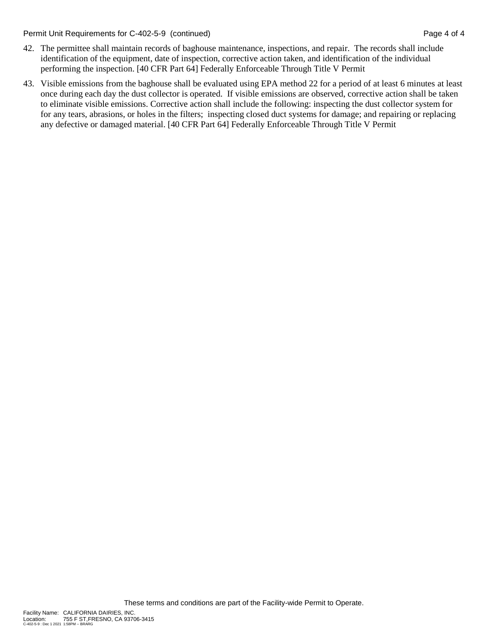Permit Unit Requirements for C-402-5-9 (continued) Page 4 of 4

- 42. The permittee shall maintain records of baghouse maintenance, inspections, and repair. The records shall include identification of the equipment, date of inspection, corrective action taken, and identification of the individual performing the inspection. [40 CFR Part 64] Federally Enforceable Through Title V Permit
- 43. Visible emissions from the baghouse shall be evaluated using EPA method 22 for a period of at least 6 minutes at least once during each day the dust collector is operated. If visible emissions are observed, corrective action shall be taken to eliminate visible emissions. Corrective action shall include the following: inspecting the dust collector system for for any tears, abrasions, or holes in the filters; inspecting closed duct systems for damage; and repairing or replacing any defective or damaged material. [40 CFR Part 64] Federally Enforceable Through Title V Permit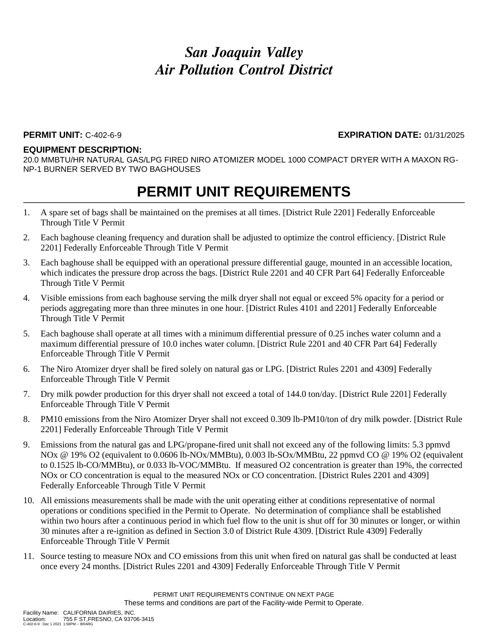#### **PERMIT UNIT:** C-402-6-9 **EXPIRATION DATE:** 01/31/2025

#### **EQUIPMENT DESCRIPTION:**

20.0 MMBTU/HR NATURAL GAS/LPG FIRED NIRO ATOMIZER MODEL 1000 COMPACT DRYER WITH A MAXON RG-NP-1 BURNER SERVED BY TWO BAGHOUSES

- 1. A spare set of bags shall be maintained on the premises at all times. [District Rule 2201] Federally Enforceable Through Title V Permit
- 2. Each baghouse cleaning frequency and duration shall be adjusted to optimize the control efficiency. [District Rule 2201] Federally Enforceable Through Title V Permit
- 3. Each baghouse shall be equipped with an operational pressure differential gauge, mounted in an accessible location, which indicates the pressure drop across the bags. [District Rule 2201 and 40 CFR Part 64] Federally Enforceable Through Title V Permit
- 4. Visible emissions from each baghouse serving the milk dryer shall not equal or exceed 5% opacity for a period or periods aggregating more than three minutes in one hour. [District Rules 4101 and 2201] Federally Enforceable Through Title V Permit
- 5. Each baghouse shall operate at all times with a minimum differential pressure of 0.25 inches water column and a maximum differential pressure of 10.0 inches water column. [District Rule 2201 and 40 CFR Part 64] Federally Enforceable Through Title V Permit
- 6. The Niro Atomizer dryer shall be fired solely on natural gas or LPG. [District Rules 2201 and 4309] Federally Enforceable Through Title V Permit
- 7. Dry milk powder production for this dryer shall not exceed a total of 144.0 ton/day. [District Rule 2201] Federally Enforceable Through Title V Permit
- 8. PM10 emissions from the Niro Atomizer Dryer shall not exceed 0.309 lb-PM10/ton of dry milk powder. [District Rule 2201] Federally Enforceable Through Title V Permit
- 9. Emissions from the natural gas and LPG/propane-fired unit shall not exceed any of the following limits: 5.3 ppmvd NOx @ 19% O2 (equivalent to 0.0606 lb-NOx/MMBtu), 0.003 lb-SOx/MMBtu, 22 ppmvd CO @ 19% O2 (equivalent to 0.1525 lb-CO/MMBtu), or 0.033 lb-VOC/MMBtu. If measured O2 concentration is greater than 19%, the corrected NOx or CO concentration is equal to the measured NOx or CO concentration. [District Rules 2201 and 4309] Federally Enforceable Through Title V Permit
- 10. All emissions measurements shall be made with the unit operating either at conditions representative of normal operations or conditions specified in the Permit to Operate. No determination of compliance shall be established within two hours after a continuous period in which fuel flow to the unit is shut off for 30 minutes or longer, or within 30 minutes after a re-ignition as defined in Section 3.0 of District Rule 4309. [District Rule 4309] Federally Enforceable Through Title V Permit
- 11. Source testing to measure NOx and CO emissions from this unit when fired on natural gas shall be conducted at least once every 24 months. [District Rules 2201 and 4309] Federally Enforceable Through Title V Permit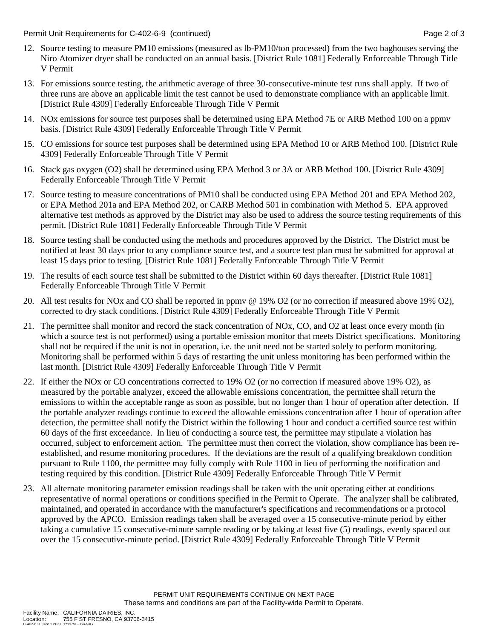Permit Unit Requirements for C-402-6-9 (continued) **Page 2** of 3

- 12. Source testing to measure PM10 emissions (measured as lb-PM10/ton processed) from the two baghouses serving the Niro Atomizer dryer shall be conducted on an annual basis. [District Rule 1081] Federally Enforceable Through Title V Permit
- 13. For emissions source testing, the arithmetic average of three 30-consecutive-minute test runs shall apply. If two of three runs are above an applicable limit the test cannot be used to demonstrate compliance with an applicable limit. [District Rule 4309] Federally Enforceable Through Title V Permit
- 14. NOx emissions for source test purposes shall be determined using EPA Method 7E or ARB Method 100 on a ppmv basis. [District Rule 4309] Federally Enforceable Through Title V Permit
- 15. CO emissions for source test purposes shall be determined using EPA Method 10 or ARB Method 100. [District Rule 4309] Federally Enforceable Through Title V Permit
- 16. Stack gas oxygen (O2) shall be determined using EPA Method 3 or 3A or ARB Method 100. [District Rule 4309] Federally Enforceable Through Title V Permit
- 17. Source testing to measure concentrations of PM10 shall be conducted using EPA Method 201 and EPA Method 202, or EPA Method 201a and EPA Method 202, or CARB Method 501 in combination with Method 5. EPA approved alternative test methods as approved by the District may also be used to address the source testing requirements of this permit. [District Rule 1081] Federally Enforceable Through Title V Permit
- 18. Source testing shall be conducted using the methods and procedures approved by the District. The District must be notified at least 30 days prior to any compliance source test, and a source test plan must be submitted for approval at least 15 days prior to testing. [District Rule 1081] Federally Enforceable Through Title V Permit
- 19. The results of each source test shall be submitted to the District within 60 days thereafter. [District Rule 1081] Federally Enforceable Through Title V Permit
- 20. All test results for NOx and CO shall be reported in ppmv @ 19% O2 (or no correction if measured above 19% O2), corrected to dry stack conditions. [District Rule 4309] Federally Enforceable Through Title V Permit
- 21. The permittee shall monitor and record the stack concentration of NOx, CO, and O2 at least once every month (in which a source test is not performed) using a portable emission monitor that meets District specifications. Monitoring shall not be required if the unit is not in operation, i.e. the unit need not be started solely to perform monitoring. Monitoring shall be performed within 5 days of restarting the unit unless monitoring has been performed within the last month. [District Rule 4309] Federally Enforceable Through Title V Permit
- 22. If either the NOx or CO concentrations corrected to 19% O2 (or no correction if measured above 19% O2), as measured by the portable analyzer, exceed the allowable emissions concentration, the permittee shall return the emissions to within the acceptable range as soon as possible, but no longer than 1 hour of operation after detection. If the portable analyzer readings continue to exceed the allowable emissions concentration after 1 hour of operation after detection, the permittee shall notify the District within the following 1 hour and conduct a certified source test within 60 days of the first exceedance. In lieu of conducting a source test, the permittee may stipulate a violation has occurred, subject to enforcement action. The permittee must then correct the violation, show compliance has been reestablished, and resume monitoring procedures. If the deviations are the result of a qualifying breakdown condition pursuant to Rule 1100, the permittee may fully comply with Rule 1100 in lieu of performing the notification and testing required by this condition. [District Rule 4309] Federally Enforceable Through Title V Permit
- 23. All alternate monitoring parameter emission readings shall be taken with the unit operating either at conditions representative of normal operations or conditions specified in the Permit to Operate. The analyzer shall be calibrated, maintained, and operated in accordance with the manufacturer's specifications and recommendations or a protocol approved by the APCO. Emission readings taken shall be averaged over a 15 consecutive-minute period by either taking a cumulative 15 consecutive-minute sample reading or by taking at least five (5) readings, evenly spaced out over the 15 consecutive-minute period. [District Rule 4309] Federally Enforceable Through Title V Permit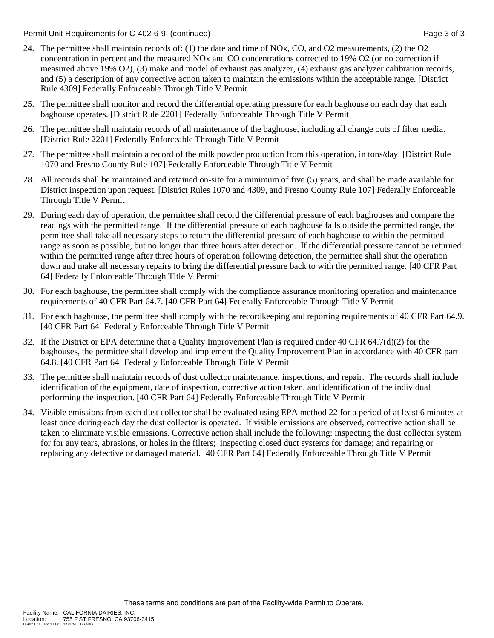Permit Unit Requirements for C-402-6-9 (continued) **Page 3** of 3

- 24. The permittee shall maintain records of: (1) the date and time of NOx, CO, and O2 measurements, (2) the O2 concentration in percent and the measured NOx and CO concentrations corrected to 19% O2 (or no correction if measured above 19% O2), (3) make and model of exhaust gas analyzer, (4) exhaust gas analyzer calibration records, and (5) a description of any corrective action taken to maintain the emissions within the acceptable range. [District Rule 4309] Federally Enforceable Through Title V Permit
- 25. The permittee shall monitor and record the differential operating pressure for each baghouse on each day that each baghouse operates. [District Rule 2201] Federally Enforceable Through Title V Permit
- 26. The permittee shall maintain records of all maintenance of the baghouse, including all change outs of filter media. [District Rule 2201] Federally Enforceable Through Title V Permit
- 27. The permittee shall maintain a record of the milk powder production from this operation, in tons/day. [District Rule 1070 and Fresno County Rule 107] Federally Enforceable Through Title V Permit
- 28. All records shall be maintained and retained on-site for a minimum of five (5) years, and shall be made available for District inspection upon request. [District Rules 1070 and 4309, and Fresno County Rule 107] Federally Enforceable Through Title V Permit
- 29. During each day of operation, the permittee shall record the differential pressure of each baghouses and compare the readings with the permitted range. If the differential pressure of each baghouse falls outside the permitted range, the permittee shall take all necessary steps to return the differential pressure of each baghouse to within the permitted range as soon as possible, but no longer than three hours after detection. If the differential pressure cannot be returned within the permitted range after three hours of operation following detection, the permittee shall shut the operation down and make all necessary repairs to bring the differential pressure back to with the permitted range. [40 CFR Part 64] Federally Enforceable Through Title V Permit
- 30. For each baghouse, the permittee shall comply with the compliance assurance monitoring operation and maintenance requirements of 40 CFR Part 64.7. [40 CFR Part 64] Federally Enforceable Through Title V Permit
- 31. For each baghouse, the permittee shall comply with the recordkeeping and reporting requirements of 40 CFR Part 64.9. [40 CFR Part 64] Federally Enforceable Through Title V Permit
- 32. If the District or EPA determine that a Quality Improvement Plan is required under 40 CFR 64.7(d)(2) for the baghouses, the permittee shall develop and implement the Quality Improvement Plan in accordance with 40 CFR part 64.8. [40 CFR Part 64] Federally Enforceable Through Title V Permit
- 33. The permittee shall maintain records of dust collector maintenance, inspections, and repair. The records shall include identification of the equipment, date of inspection, corrective action taken, and identification of the individual performing the inspection. [40 CFR Part 64] Federally Enforceable Through Title V Permit
- 34. Visible emissions from each dust collector shall be evaluated using EPA method 22 for a period of at least 6 minutes at least once during each day the dust collector is operated. If visible emissions are observed, corrective action shall be taken to eliminate visible emissions. Corrective action shall include the following: inspecting the dust collector system for for any tears, abrasions, or holes in the filters; inspecting closed duct systems for damage; and repairing or replacing any defective or damaged material. [40 CFR Part 64] Federally Enforceable Through Title V Permit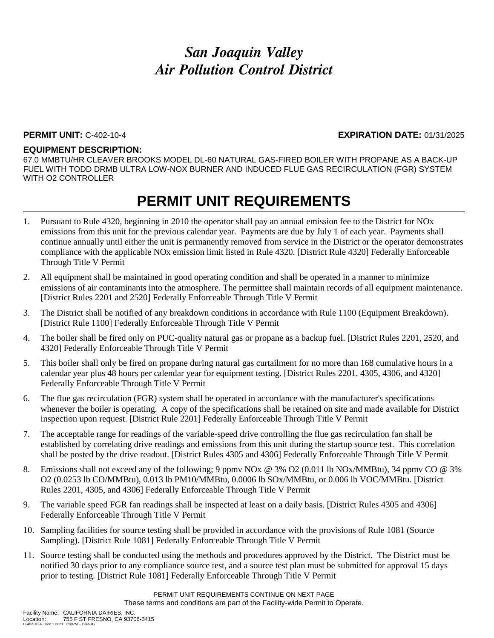### **PERMIT UNIT:** C-402-10-4 **EXPIRATION DATE:** 01/31/2025

#### **EQUIPMENT DESCRIPTION:**

67.0 MMBTU/HR CLEAVER BROOKS MODEL DL-60 NATURAL GAS-FIRED BOILER WITH PROPANE AS A BACK-UP FUEL WITH TODD DRMB ULTRA LOW-NOX BURNER AND INDUCED FLUE GAS RECIRCULATION (FGR) SYSTEM WITH O2 CONTROLLER

- 1. Pursuant to Rule 4320, beginning in 2010 the operator shall pay an annual emission fee to the District for NOx emissions from this unit for the previous calendar year. Payments are due by July 1 of each year. Payments shall continue annually until either the unit is permanently removed from service in the District or the operator demonstrates compliance with the applicable NOx emission limit listed in Rule 4320. [District Rule 4320] Federally Enforceable Through Title V Permit
- 2. All equipment shall be maintained in good operating condition and shall be operated in a manner to minimize emissions of air contaminants into the atmosphere. The permittee shall maintain records of all equipment maintenance. [District Rules 2201 and 2520] Federally Enforceable Through Title V Permit
- 3. The District shall be notified of any breakdown conditions in accordance with Rule 1100 (Equipment Breakdown). [District Rule 1100] Federally Enforceable Through Title V Permit
- 4. The boiler shall be fired only on PUC-quality natural gas or propane as a backup fuel. [District Rules 2201, 2520, and 4320] Federally Enforceable Through Title V Permit
- 5. This boiler shall only be fired on propane during natural gas curtailment for no more than 168 cumulative hours in a calendar year plus 48 hours per calendar year for equipment testing. [District Rules 2201, 4305, 4306, and 4320] Federally Enforceable Through Title V Permit
- 6. The flue gas recirculation (FGR) system shall be operated in accordance with the manufacturer's specifications whenever the boiler is operating. A copy of the specifications shall be retained on site and made available for District inspection upon request. [District Rule 2201] Federally Enforceable Through Title V Permit
- 7. The acceptable range for readings of the variable-speed drive controlling the flue gas recirculation fan shall be established by correlating drive readings and emissions from this unit during the startup source test. This correlation shall be posted by the drive readout. [District Rules 4305 and 4306] Federally Enforceable Through Title V Permit
- 8. Emissions shall not exceed any of the following; 9 ppmv NOx @ 3% O2 (0.011 lb NOx/MMBtu), 34 ppmv CO @ 3% O2 (0.0253 lb CO/MMBtu), 0.013 lb PM10/MMBtu, 0.0006 lb SOx/MMBtu, or 0.006 lb VOC/MMBtu. [District Rules 2201, 4305, and 4306] Federally Enforceable Through Title V Permit
- 9. The variable speed FGR fan readings shall be inspected at least on a daily basis. [District Rules 4305 and 4306] Federally Enforceable Through Title V Permit
- 10. Sampling facilities for source testing shall be provided in accordance with the provisions of Rule 1081 (Source Sampling). [District Rule 1081] Federally Enforceable Through Title V Permit
- 11. Source testing shall be conducted using the methods and procedures approved by the District. The District must be notified 30 days prior to any compliance source test, and a source test plan must be submitted for approval 15 days prior to testing. [District Rule 1081] Federally Enforceable Through Title V Permit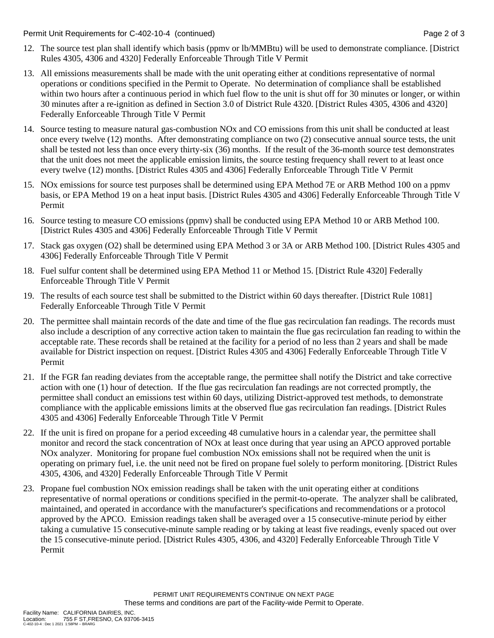Permit Unit Requirements for C-402-10-4 (continued) **Page 2** of 3

- 12. The source test plan shall identify which basis (ppmv or lb/MMBtu) will be used to demonstrate compliance. [District Rules 4305, 4306 and 4320] Federally Enforceable Through Title V Permit
- 13. All emissions measurements shall be made with the unit operating either at conditions representative of normal operations or conditions specified in the Permit to Operate. No determination of compliance shall be established within two hours after a continuous period in which fuel flow to the unit is shut off for 30 minutes or longer, or within 30 minutes after a re-ignition as defined in Section 3.0 of District Rule 4320. [District Rules 4305, 4306 and 4320] Federally Enforceable Through Title V Permit
- 14. Source testing to measure natural gas-combustion NOx and CO emissions from this unit shall be conducted at least once every twelve (12) months. After demonstrating compliance on two (2) consecutive annual source tests, the unit shall be tested not less than once every thirty-six (36) months. If the result of the 36-month source test demonstrates that the unit does not meet the applicable emission limits, the source testing frequency shall revert to at least once every twelve (12) months. [District Rules 4305 and 4306] Federally Enforceable Through Title V Permit
- 15. NOx emissions for source test purposes shall be determined using EPA Method 7E or ARB Method 100 on a ppmv basis, or EPA Method 19 on a heat input basis. [District Rules 4305 and 4306] Federally Enforceable Through Title V Permit
- 16. Source testing to measure CO emissions (ppmv) shall be conducted using EPA Method 10 or ARB Method 100. [District Rules 4305 and 4306] Federally Enforceable Through Title V Permit
- 17. Stack gas oxygen (O2) shall be determined using EPA Method 3 or 3A or ARB Method 100. [District Rules 4305 and 4306] Federally Enforceable Through Title V Permit
- 18. Fuel sulfur content shall be determined using EPA Method 11 or Method 15. [District Rule 4320] Federally Enforceable Through Title V Permit
- 19. The results of each source test shall be submitted to the District within 60 days thereafter. [District Rule 1081] Federally Enforceable Through Title V Permit
- 20. The permittee shall maintain records of the date and time of the flue gas recirculation fan readings. The records must also include a description of any corrective action taken to maintain the flue gas recirculation fan reading to within the acceptable rate. These records shall be retained at the facility for a period of no less than 2 years and shall be made available for District inspection on request. [District Rules 4305 and 4306] Federally Enforceable Through Title V Permit
- 21. If the FGR fan reading deviates from the acceptable range, the permittee shall notify the District and take corrective action with one (1) hour of detection. If the flue gas recirculation fan readings are not corrected promptly, the permittee shall conduct an emissions test within 60 days, utilizing District-approved test methods, to demonstrate compliance with the applicable emissions limits at the observed flue gas recirculation fan readings. [District Rules 4305 and 4306] Federally Enforceable Through Title V Permit
- 22. If the unit is fired on propane for a period exceeding 48 cumulative hours in a calendar year, the permittee shall monitor and record the stack concentration of NOx at least once during that year using an APCO approved portable NOx analyzer. Monitoring for propane fuel combustion NOx emissions shall not be required when the unit is operating on primary fuel, i.e. the unit need not be fired on propane fuel solely to perform monitoring. [District Rules 4305, 4306, and 4320] Federally Enforceable Through Title V Permit
- 23. Propane fuel combustion NOx emission readings shall be taken with the unit operating either at conditions representative of normal operations or conditions specified in the permit-to-operate. The analyzer shall be calibrated, maintained, and operated in accordance with the manufacturer's specifications and recommendations or a protocol approved by the APCO. Emission readings taken shall be averaged over a 15 consecutive-minute period by either taking a cumulative 15 consecutive-minute sample reading or by taking at least five readings, evenly spaced out over the 15 consecutive-minute period. [District Rules 4305, 4306, and 4320] Federally Enforceable Through Title V Permit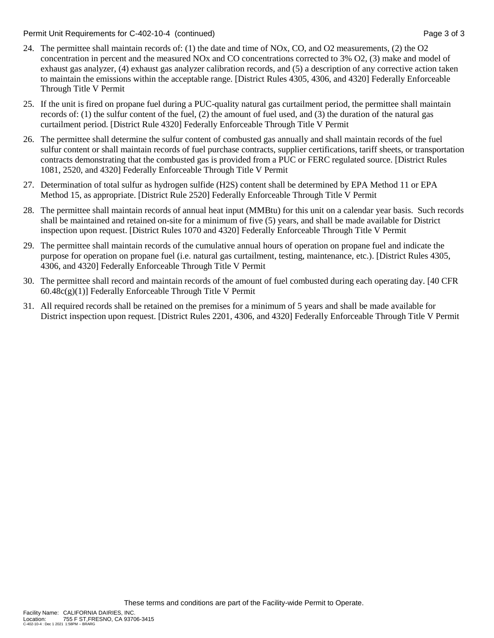Permit Unit Requirements for C-402-10-4 (continued) example 3 of 3 set 3 of 3

- 24. The permittee shall maintain records of: (1) the date and time of NOx, CO, and O2 measurements, (2) the O2 concentration in percent and the measured NOx and CO concentrations corrected to 3% O2, (3) make and model of exhaust gas analyzer, (4) exhaust gas analyzer calibration records, and (5) a description of any corrective action taken to maintain the emissions within the acceptable range. [District Rules 4305, 4306, and 4320] Federally Enforceable Through Title V Permit
- 25. If the unit is fired on propane fuel during a PUC-quality natural gas curtailment period, the permittee shall maintain records of: (1) the sulfur content of the fuel, (2) the amount of fuel used, and (3) the duration of the natural gas curtailment period. [District Rule 4320] Federally Enforceable Through Title V Permit
- 26. The permittee shall determine the sulfur content of combusted gas annually and shall maintain records of the fuel sulfur content or shall maintain records of fuel purchase contracts, supplier certifications, tariff sheets, or transportation contracts demonstrating that the combusted gas is provided from a PUC or FERC regulated source. [District Rules 1081, 2520, and 4320] Federally Enforceable Through Title V Permit
- 27. Determination of total sulfur as hydrogen sulfide (H2S) content shall be determined by EPA Method 11 or EPA Method 15, as appropriate. [District Rule 2520] Federally Enforceable Through Title V Permit
- 28. The permittee shall maintain records of annual heat input (MMBtu) for this unit on a calendar year basis. Such records shall be maintained and retained on-site for a minimum of five (5) years, and shall be made available for District inspection upon request. [District Rules 1070 and 4320] Federally Enforceable Through Title V Permit
- 29. The permittee shall maintain records of the cumulative annual hours of operation on propane fuel and indicate the purpose for operation on propane fuel (i.e. natural gas curtailment, testing, maintenance, etc.). [District Rules 4305, 4306, and 4320] Federally Enforceable Through Title V Permit
- 30. The permittee shall record and maintain records of the amount of fuel combusted during each operating day. [40 CFR  $60.48c(g)(1)$ ] Federally Enforceable Through Title V Permit
- 31. All required records shall be retained on the premises for a minimum of 5 years and shall be made available for District inspection upon request. [District Rules 2201, 4306, and 4320] Federally Enforceable Through Title V Permit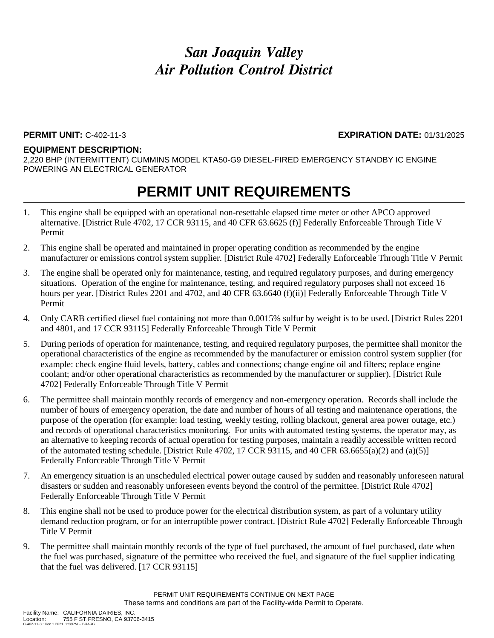#### **PERMIT UNIT:** C-402-11-3 **EXPIRATION DATE:** 01/31/2025

#### **EQUIPMENT DESCRIPTION:**

2,220 BHP (INTERMITTENT) CUMMINS MODEL KTA50-G9 DIESEL-FIRED EMERGENCY STANDBY IC ENGINE POWERING AN ELECTRICAL GENERATOR

- 1. This engine shall be equipped with an operational non-resettable elapsed time meter or other APCO approved alternative. [District Rule 4702, 17 CCR 93115, and 40 CFR 63.6625 (f)] Federally Enforceable Through Title V Permit
- 2. This engine shall be operated and maintained in proper operating condition as recommended by the engine manufacturer or emissions control system supplier. [District Rule 4702] Federally Enforceable Through Title V Permit
- 3. The engine shall be operated only for maintenance, testing, and required regulatory purposes, and during emergency situations. Operation of the engine for maintenance, testing, and required regulatory purposes shall not exceed 16 hours per year. [District Rules 2201 and 4702, and 40 CFR 63.6640 (f)(ii)] Federally Enforceable Through Title V Permit
- 4. Only CARB certified diesel fuel containing not more than 0.0015% sulfur by weight is to be used. [District Rules 2201 and 4801, and 17 CCR 93115] Federally Enforceable Through Title V Permit
- 5. During periods of operation for maintenance, testing, and required regulatory purposes, the permittee shall monitor the operational characteristics of the engine as recommended by the manufacturer or emission control system supplier (for example: check engine fluid levels, battery, cables and connections; change engine oil and filters; replace engine coolant; and/or other operational characteristics as recommended by the manufacturer or supplier). [District Rule 4702] Federally Enforceable Through Title V Permit
- 6. The permittee shall maintain monthly records of emergency and non-emergency operation. Records shall include the number of hours of emergency operation, the date and number of hours of all testing and maintenance operations, the purpose of the operation (for example: load testing, weekly testing, rolling blackout, general area power outage, etc.) and records of operational characteristics monitoring. For units with automated testing systems, the operator may, as an alternative to keeping records of actual operation for testing purposes, maintain a readily accessible written record of the automated testing schedule. [District Rule 4702, 17 CCR 93115, and 40 CFR 63.6655(a)(2) and (a)(5)] Federally Enforceable Through Title V Permit
- 7. An emergency situation is an unscheduled electrical power outage caused by sudden and reasonably unforeseen natural disasters or sudden and reasonably unforeseen events beyond the control of the permittee. [District Rule 4702] Federally Enforceable Through Title V Permit
- 8. This engine shall not be used to produce power for the electrical distribution system, as part of a voluntary utility demand reduction program, or for an interruptible power contract. [District Rule 4702] Federally Enforceable Through Title V Permit
- 9. The permittee shall maintain monthly records of the type of fuel purchased, the amount of fuel purchased, date when the fuel was purchased, signature of the permittee who received the fuel, and signature of the fuel supplier indicating that the fuel was delivered. [17 CCR 93115]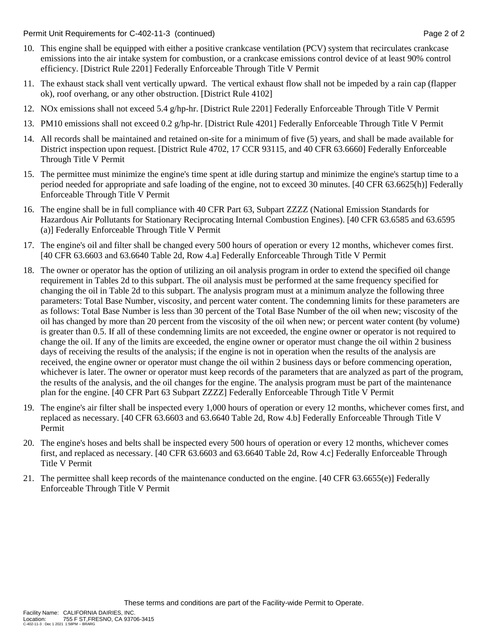Permit Unit Requirements for C-402-11-3 (continued) Page 2 of 2

- 10. This engine shall be equipped with either a positive crankcase ventilation (PCV) system that recirculates crankcase emissions into the air intake system for combustion, or a crankcase emissions control device of at least 90% control efficiency. [District Rule 2201] Federally Enforceable Through Title V Permit
- 11. The exhaust stack shall vent vertically upward. The vertical exhaust flow shall not be impeded by a rain cap (flapper ok), roof overhang, or any other obstruction. [District Rule 4102]
- 12. NOx emissions shall not exceed 5.4 g/hp-hr. [District Rule 2201] Federally Enforceable Through Title V Permit
- 13. PM10 emissions shall not exceed 0.2 g/hp-hr. [District Rule 4201] Federally Enforceable Through Title V Permit
- 14. All records shall be maintained and retained on-site for a minimum of five (5) years, and shall be made available for District inspection upon request. [District Rule 4702, 17 CCR 93115, and 40 CFR 63.6660] Federally Enforceable Through Title V Permit
- 15. The permittee must minimize the engine's time spent at idle during startup and minimize the engine's startup time to a period needed for appropriate and safe loading of the engine, not to exceed 30 minutes. [40 CFR 63.6625(h)] Federally Enforceable Through Title V Permit
- 16. The engine shall be in full compliance with 40 CFR Part 63, Subpart ZZZZ (National Emission Standards for Hazardous Air Pollutants for Stationary Reciprocating Internal Combustion Engines). [40 CFR 63.6585 and 63.6595 (a)] Federally Enforceable Through Title V Permit
- 17. The engine's oil and filter shall be changed every 500 hours of operation or every 12 months, whichever comes first. [40 CFR 63.6603 and 63.6640 Table 2d, Row 4.a] Federally Enforceable Through Title V Permit
- 18. The owner or operator has the option of utilizing an oil analysis program in order to extend the specified oil change requirement in Tables 2d to this subpart. The oil analysis must be performed at the same frequency specified for changing the oil in Table 2d to this subpart. The analysis program must at a minimum analyze the following three parameters: Total Base Number, viscosity, and percent water content. The condemning limits for these parameters are as follows: Total Base Number is less than 30 percent of the Total Base Number of the oil when new; viscosity of the oil has changed by more than 20 percent from the viscosity of the oil when new; or percent water content (by volume) is greater than 0.5. If all of these condemning limits are not exceeded, the engine owner or operator is not required to change the oil. If any of the limits are exceeded, the engine owner or operator must change the oil within 2 business days of receiving the results of the analysis; if the engine is not in operation when the results of the analysis are received, the engine owner or operator must change the oil within 2 business days or before commencing operation, whichever is later. The owner or operator must keep records of the parameters that are analyzed as part of the program, the results of the analysis, and the oil changes for the engine. The analysis program must be part of the maintenance plan for the engine. [40 CFR Part 63 Subpart ZZZZ] Federally Enforceable Through Title V Permit
- 19. The engine's air filter shall be inspected every 1,000 hours of operation or every 12 months, whichever comes first, and replaced as necessary. [40 CFR 63.6603 and 63.6640 Table 2d, Row 4.b] Federally Enforceable Through Title V Permit
- 20. The engine's hoses and belts shall be inspected every 500 hours of operation or every 12 months, whichever comes first, and replaced as necessary. [40 CFR 63.6603 and 63.6640 Table 2d, Row 4.c] Federally Enforceable Through Title V Permit
- 21. The permittee shall keep records of the maintenance conducted on the engine. [40 CFR 63.6655(e)] Federally Enforceable Through Title V Permit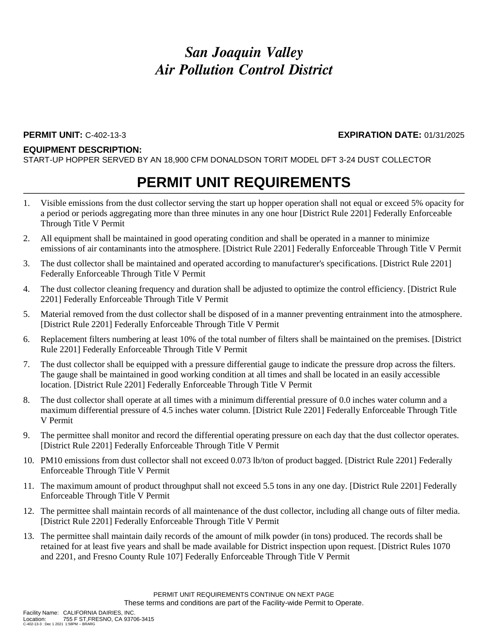### **EQUIPMENT DESCRIPTION:**

START-UP HOPPER SERVED BY AN 18,900 CFM DONALDSON TORIT MODEL DFT 3-24 DUST COLLECTOR

## **PERMIT UNIT REQUIREMENTS**

- 1. Visible emissions from the dust collector serving the start up hopper operation shall not equal or exceed 5% opacity for a period or periods aggregating more than three minutes in any one hour [District Rule 2201] Federally Enforceable Through Title V Permit
- 2. All equipment shall be maintained in good operating condition and shall be operated in a manner to minimize emissions of air contaminants into the atmosphere. [District Rule 2201] Federally Enforceable Through Title V Permit
- 3. The dust collector shall be maintained and operated according to manufacturer's specifications. [District Rule 2201] Federally Enforceable Through Title V Permit
- 4. The dust collector cleaning frequency and duration shall be adjusted to optimize the control efficiency. [District Rule 2201] Federally Enforceable Through Title V Permit
- 5. Material removed from the dust collector shall be disposed of in a manner preventing entrainment into the atmosphere. [District Rule 2201] Federally Enforceable Through Title V Permit
- 6. Replacement filters numbering at least 10% of the total number of filters shall be maintained on the premises. [District Rule 2201] Federally Enforceable Through Title V Permit
- 7. The dust collector shall be equipped with a pressure differential gauge to indicate the pressure drop across the filters. The gauge shall be maintained in good working condition at all times and shall be located in an easily accessible location. [District Rule 2201] Federally Enforceable Through Title V Permit
- 8. The dust collector shall operate at all times with a minimum differential pressure of 0.0 inches water column and a maximum differential pressure of 4.5 inches water column. [District Rule 2201] Federally Enforceable Through Title V Permit
- 9. The permittee shall monitor and record the differential operating pressure on each day that the dust collector operates. [District Rule 2201] Federally Enforceable Through Title V Permit
- 10. PM10 emissions from dust collector shall not exceed 0.073 lb/ton of product bagged. [District Rule 2201] Federally Enforceable Through Title V Permit
- 11. The maximum amount of product throughput shall not exceed 5.5 tons in any one day. [District Rule 2201] Federally Enforceable Through Title V Permit
- 12. The permittee shall maintain records of all maintenance of the dust collector, including all change outs of filter media. [District Rule 2201] Federally Enforceable Through Title V Permit
- 13. The permittee shall maintain daily records of the amount of milk powder (in tons) produced. The records shall be retained for at least five years and shall be made available for District inspection upon request. [District Rules 1070 and 2201, and Fresno County Rule 107] Federally Enforceable Through Title V Permit

**PERMIT UNIT:** C-402-13-3 **EXPIRATION DATE:** 01/31/2025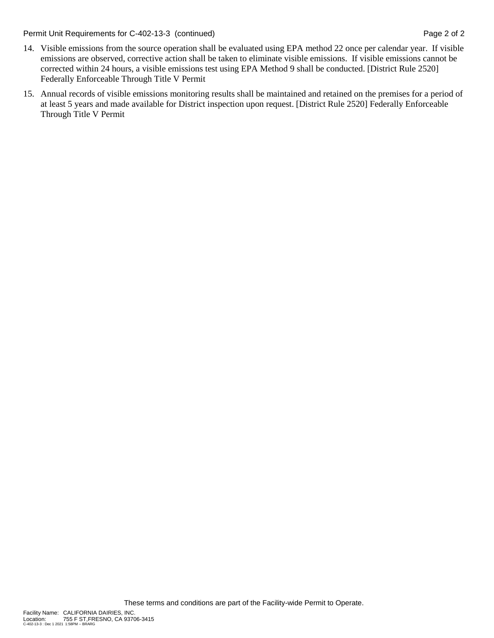Permit Unit Requirements for C-402-13-3 (continued) **Page 2 of 2** and 2 and 2 of 2

- 14. Visible emissions from the source operation shall be evaluated using EPA method 22 once per calendar year. If visible emissions are observed, corrective action shall be taken to eliminate visible emissions. If visible emissions cannot be corrected within 24 hours, a visible emissions test using EPA Method 9 shall be conducted. [District Rule 2520] Federally Enforceable Through Title V Permit
- 15. Annual records of visible emissions monitoring results shall be maintained and retained on the premises for a period of at least 5 years and made available for District inspection upon request. [District Rule 2520] Federally Enforceable Through Title V Permit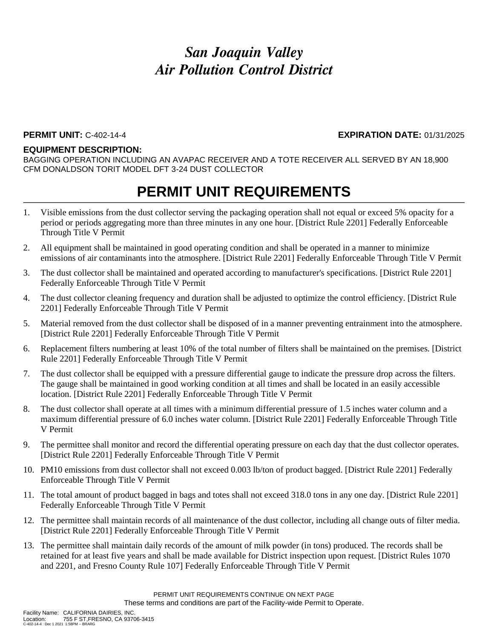#### **PERMIT UNIT:** C-402-14-4 **EXPIRATION DATE:** 01/31/2025

#### **EQUIPMENT DESCRIPTION:**

BAGGING OPERATION INCLUDING AN AVAPAC RECEIVER AND A TOTE RECEIVER ALL SERVED BY AN 18,900 CFM DONALDSON TORIT MODEL DFT 3-24 DUST COLLECTOR

- 1. Visible emissions from the dust collector serving the packaging operation shall not equal or exceed 5% opacity for a period or periods aggregating more than three minutes in any one hour. [District Rule 2201] Federally Enforceable Through Title V Permit
- 2. All equipment shall be maintained in good operating condition and shall be operated in a manner to minimize emissions of air contaminants into the atmosphere. [District Rule 2201] Federally Enforceable Through Title V Permit
- 3. The dust collector shall be maintained and operated according to manufacturer's specifications. [District Rule 2201] Federally Enforceable Through Title V Permit
- 4. The dust collector cleaning frequency and duration shall be adjusted to optimize the control efficiency. [District Rule 2201] Federally Enforceable Through Title V Permit
- 5. Material removed from the dust collector shall be disposed of in a manner preventing entrainment into the atmosphere. [District Rule 2201] Federally Enforceable Through Title V Permit
- 6. Replacement filters numbering at least 10% of the total number of filters shall be maintained on the premises. [District Rule 2201] Federally Enforceable Through Title V Permit
- 7. The dust collector shall be equipped with a pressure differential gauge to indicate the pressure drop across the filters. The gauge shall be maintained in good working condition at all times and shall be located in an easily accessible location. [District Rule 2201] Federally Enforceable Through Title V Permit
- 8. The dust collector shall operate at all times with a minimum differential pressure of 1.5 inches water column and a maximum differential pressure of 6.0 inches water column. [District Rule 2201] Federally Enforceable Through Title V Permit
- 9. The permittee shall monitor and record the differential operating pressure on each day that the dust collector operates. [District Rule 2201] Federally Enforceable Through Title V Permit
- 10. PM10 emissions from dust collector shall not exceed 0.003 lb/ton of product bagged. [District Rule 2201] Federally Enforceable Through Title V Permit
- 11. The total amount of product bagged in bags and totes shall not exceed 318.0 tons in any one day. [District Rule 2201] Federally Enforceable Through Title V Permit
- 12. The permittee shall maintain records of all maintenance of the dust collector, including all change outs of filter media. [District Rule 2201] Federally Enforceable Through Title V Permit
- 13. The permittee shall maintain daily records of the amount of milk powder (in tons) produced. The records shall be retained for at least five years and shall be made available for District inspection upon request. [District Rules 1070 and 2201, and Fresno County Rule 107] Federally Enforceable Through Title V Permit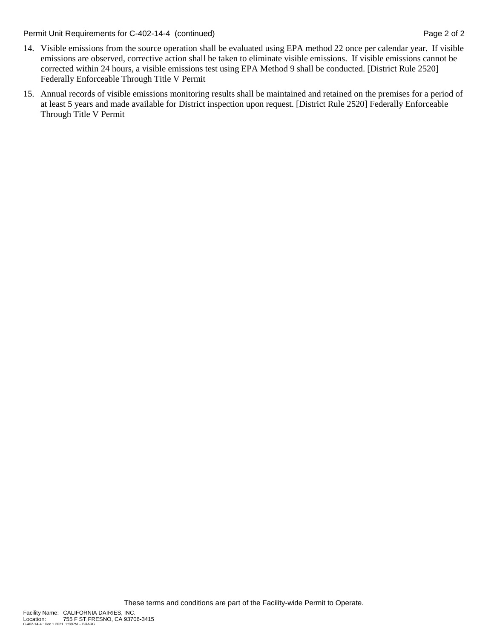Permit Unit Requirements for C-402-14-4 (continued) **Page 2** of 2

- 14. Visible emissions from the source operation shall be evaluated using EPA method 22 once per calendar year. If visible emissions are observed, corrective action shall be taken to eliminate visible emissions. If visible emissions cannot be corrected within 24 hours, a visible emissions test using EPA Method 9 shall be conducted. [District Rule 2520] Federally Enforceable Through Title V Permit
- 15. Annual records of visible emissions monitoring results shall be maintained and retained on the premises for a period of at least 5 years and made available for District inspection upon request. [District Rule 2520] Federally Enforceable Through Title V Permit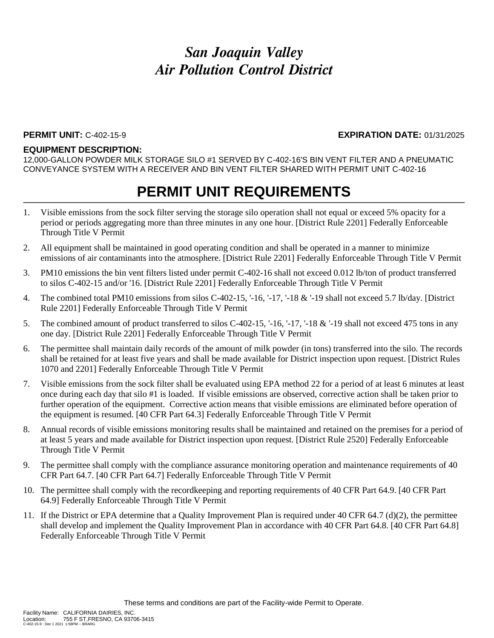#### **PERMIT UNIT:** C-402-15-9 **EXPIRATION DATE:** 01/31/2025

#### **EQUIPMENT DESCRIPTION:**

12,000-GALLON POWDER MILK STORAGE SILO #1 SERVED BY C-402-16'S BIN VENT FILTER AND A PNEUMATIC CONVEYANCE SYSTEM WITH A RECEIVER AND BIN VENT FILTER SHARED WITH PERMIT UNIT C-402-16

- 1. Visible emissions from the sock filter serving the storage silo operation shall not equal or exceed 5% opacity for a period or periods aggregating more than three minutes in any one hour. [District Rule 2201] Federally Enforceable Through Title V Permit
- 2. All equipment shall be maintained in good operating condition and shall be operated in a manner to minimize emissions of air contaminants into the atmosphere. [District Rule 2201] Federally Enforceable Through Title V Permit
- 3. PM10 emissions the bin vent filters listed under permit C-402-16 shall not exceed 0.012 lb/ton of product transferred to silos C-402-15 and/or '16. [District Rule 2201] Federally Enforceable Through Title V Permit
- 4. The combined total PM10 emissions from silos C-402-15, '-16, '-17, '-18 & '-19 shall not exceed 5.7 lb/day. [District Rule 2201] Federally Enforceable Through Title V Permit
- 5. The combined amount of product transferred to silos C-402-15, '-16, '-17, '-18 & '-19 shall not exceed 475 tons in any one day. [District Rule 2201] Federally Enforceable Through Title V Permit
- 6. The permittee shall maintain daily records of the amount of milk powder (in tons) transferred into the silo. The records shall be retained for at least five years and shall be made available for District inspection upon request. [District Rules 1070 and 2201] Federally Enforceable Through Title V Permit
- 7. Visible emissions from the sock filter shall be evaluated using EPA method 22 for a period of at least 6 minutes at least once during each day that silo #1 is loaded. If visible emissions are observed, corrective action shall be taken prior to further operation of the equipment. Corrective action means that visible emissions are eliminated before operation of the equipment is resumed. [40 CFR Part 64.3] Federally Enforceable Through Title V Permit
- 8. Annual records of visible emissions monitoring results shall be maintained and retained on the premises for a period of at least 5 years and made available for District inspection upon request. [District Rule 2520] Federally Enforceable Through Title V Permit
- 9. The permittee shall comply with the compliance assurance monitoring operation and maintenance requirements of 40 CFR Part 64.7. [40 CFR Part 64.7] Federally Enforceable Through Title V Permit
- 10. The permittee shall comply with the recordkeeping and reporting requirements of 40 CFR Part 64.9. [40 CFR Part 64.9] Federally Enforceable Through Title V Permit
- 11. If the District or EPA determine that a Quality Improvement Plan is required under 40 CFR 64.7 (d)(2), the permittee shall develop and implement the Quality Improvement Plan in accordance with 40 CFR Part 64.8. [40 CFR Part 64.8] Federally Enforceable Through Title V Permit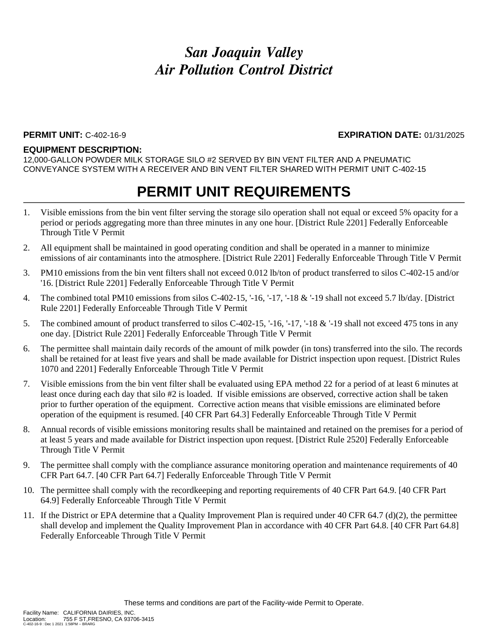#### **PERMIT UNIT:** C-402-16-9 **EXPIRATION DATE:** 01/31/2025

#### **EQUIPMENT DESCRIPTION:**

12,000-GALLON POWDER MILK STORAGE SILO #2 SERVED BY BIN VENT FILTER AND A PNEUMATIC CONVEYANCE SYSTEM WITH A RECEIVER AND BIN VENT FILTER SHARED WITH PERMIT UNIT C-402-15

- 1. Visible emissions from the bin vent filter serving the storage silo operation shall not equal or exceed 5% opacity for a period or periods aggregating more than three minutes in any one hour. [District Rule 2201] Federally Enforceable Through Title V Permit
- 2. All equipment shall be maintained in good operating condition and shall be operated in a manner to minimize emissions of air contaminants into the atmosphere. [District Rule 2201] Federally Enforceable Through Title V Permit
- 3. PM10 emissions from the bin vent filters shall not exceed 0.012 lb/ton of product transferred to silos C-402-15 and/or '16. [District Rule 2201] Federally Enforceable Through Title V Permit
- 4. The combined total PM10 emissions from silos C-402-15, '-16, '-17, '-18 & '-19 shall not exceed 5.7 lb/day. [District Rule 2201] Federally Enforceable Through Title V Permit
- 5. The combined amount of product transferred to silos C-402-15, '-16, '-17, '-18 & '-19 shall not exceed 475 tons in any one day. [District Rule 2201] Federally Enforceable Through Title V Permit
- 6. The permittee shall maintain daily records of the amount of milk powder (in tons) transferred into the silo. The records shall be retained for at least five years and shall be made available for District inspection upon request. [District Rules 1070 and 2201] Federally Enforceable Through Title V Permit
- 7. Visible emissions from the bin vent filter shall be evaluated using EPA method 22 for a period of at least 6 minutes at least once during each day that silo #2 is loaded. If visible emissions are observed, corrective action shall be taken prior to further operation of the equipment. Corrective action means that visible emissions are eliminated before operation of the equipment is resumed. [40 CFR Part 64.3] Federally Enforceable Through Title V Permit
- 8. Annual records of visible emissions monitoring results shall be maintained and retained on the premises for a period of at least 5 years and made available for District inspection upon request. [District Rule 2520] Federally Enforceable Through Title V Permit
- 9. The permittee shall comply with the compliance assurance monitoring operation and maintenance requirements of 40 CFR Part 64.7. [40 CFR Part 64.7] Federally Enforceable Through Title V Permit
- 10. The permittee shall comply with the recordkeeping and reporting requirements of 40 CFR Part 64.9. [40 CFR Part 64.9] Federally Enforceable Through Title V Permit
- 11. If the District or EPA determine that a Quality Improvement Plan is required under 40 CFR 64.7 (d)(2), the permittee shall develop and implement the Quality Improvement Plan in accordance with 40 CFR Part 64.8. [40 CFR Part 64.8] Federally Enforceable Through Title V Permit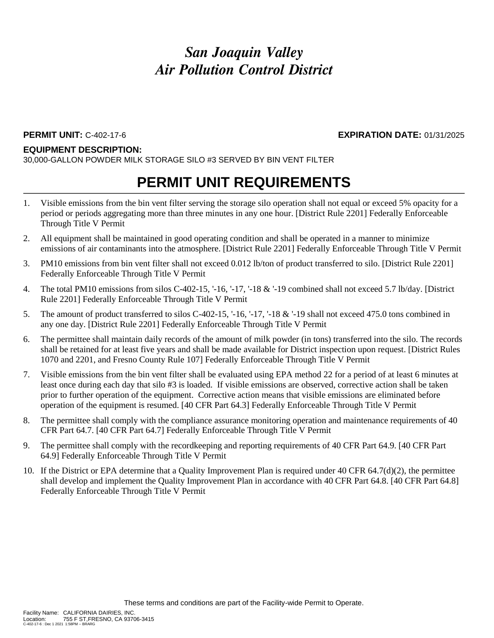**PERMIT UNIT:** C-402-17-6 **EXPIRATION DATE:** 01/31/2025

#### **EQUIPMENT DESCRIPTION:**

30,000-GALLON POWDER MILK STORAGE SILO #3 SERVED BY BIN VENT FILTER

- 1. Visible emissions from the bin vent filter serving the storage silo operation shall not equal or exceed 5% opacity for a period or periods aggregating more than three minutes in any one hour. [District Rule 2201] Federally Enforceable Through Title V Permit
- 2. All equipment shall be maintained in good operating condition and shall be operated in a manner to minimize emissions of air contaminants into the atmosphere. [District Rule 2201] Federally Enforceable Through Title V Permit
- 3. PM10 emissions from bin vent filter shall not exceed 0.012 lb/ton of product transferred to silo. [District Rule 2201] Federally Enforceable Through Title V Permit
- 4. The total PM10 emissions from silos C-402-15, '-16, '-17, '-18 & '-19 combined shall not exceed 5.7 lb/day. [District Rule 2201] Federally Enforceable Through Title V Permit
- 5. The amount of product transferred to silos C-402-15, '-16, '-17, '-18 & '-19 shall not exceed 475.0 tons combined in any one day. [District Rule 2201] Federally Enforceable Through Title V Permit
- 6. The permittee shall maintain daily records of the amount of milk powder (in tons) transferred into the silo. The records shall be retained for at least five years and shall be made available for District inspection upon request. [District Rules 1070 and 2201, and Fresno County Rule 107] Federally Enforceable Through Title V Permit
- 7. Visible emissions from the bin vent filter shall be evaluated using EPA method 22 for a period of at least 6 minutes at least once during each day that silo #3 is loaded. If visible emissions are observed, corrective action shall be taken prior to further operation of the equipment. Corrective action means that visible emissions are eliminated before operation of the equipment is resumed. [40 CFR Part 64.3] Federally Enforceable Through Title V Permit
- 8. The permittee shall comply with the compliance assurance monitoring operation and maintenance requirements of 40 CFR Part 64.7. [40 CFR Part 64.7] Federally Enforceable Through Title V Permit
- 9. The permittee shall comply with the recordkeeping and reporting requirements of 40 CFR Part 64.9. [40 CFR Part 64.9] Federally Enforceable Through Title V Permit
- 10. If the District or EPA determine that a Quality Improvement Plan is required under 40 CFR 64.7(d)(2), the permittee shall develop and implement the Quality Improvement Plan in accordance with 40 CFR Part 64.8. [40 CFR Part 64.8] Federally Enforceable Through Title V Permit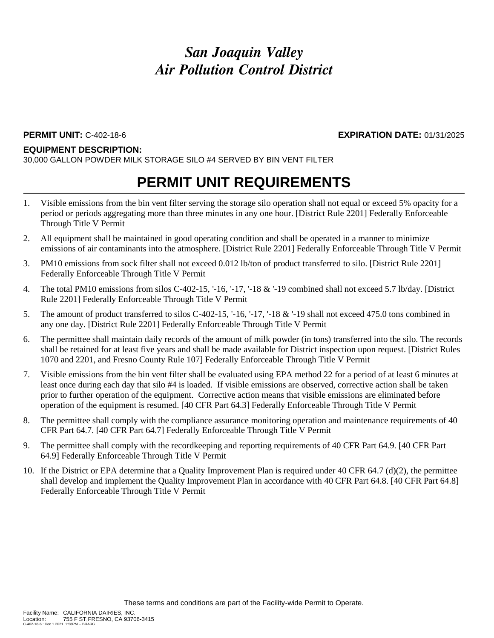**PERMIT UNIT:** C-402-18-6 **EXPIRATION DATE:** 01/31/2025

#### **EQUIPMENT DESCRIPTION:**

30,000 GALLON POWDER MILK STORAGE SILO #4 SERVED BY BIN VENT FILTER

- 1. Visible emissions from the bin vent filter serving the storage silo operation shall not equal or exceed 5% opacity for a period or periods aggregating more than three minutes in any one hour. [District Rule 2201] Federally Enforceable Through Title V Permit
- 2. All equipment shall be maintained in good operating condition and shall be operated in a manner to minimize emissions of air contaminants into the atmosphere. [District Rule 2201] Federally Enforceable Through Title V Permit
- 3. PM10 emissions from sock filter shall not exceed 0.012 lb/ton of product transferred to silo. [District Rule 2201] Federally Enforceable Through Title V Permit
- 4. The total PM10 emissions from silos C-402-15, '-16, '-17, '-18 & '-19 combined shall not exceed 5.7 lb/day. [District Rule 2201] Federally Enforceable Through Title V Permit
- 5. The amount of product transferred to silos C-402-15, '-16, '-17, '-18 & '-19 shall not exceed 475.0 tons combined in any one day. [District Rule 2201] Federally Enforceable Through Title V Permit
- 6. The permittee shall maintain daily records of the amount of milk powder (in tons) transferred into the silo. The records shall be retained for at least five years and shall be made available for District inspection upon request. [District Rules 1070 and 2201, and Fresno County Rule 107] Federally Enforceable Through Title V Permit
- 7. Visible emissions from the bin vent filter shall be evaluated using EPA method 22 for a period of at least 6 minutes at least once during each day that silo #4 is loaded. If visible emissions are observed, corrective action shall be taken prior to further operation of the equipment. Corrective action means that visible emissions are eliminated before operation of the equipment is resumed. [40 CFR Part 64.3] Federally Enforceable Through Title V Permit
- 8. The permittee shall comply with the compliance assurance monitoring operation and maintenance requirements of 40 CFR Part 64.7. [40 CFR Part 64.7] Federally Enforceable Through Title V Permit
- 9. The permittee shall comply with the recordkeeping and reporting requirements of 40 CFR Part 64.9. [40 CFR Part 64.9] Federally Enforceable Through Title V Permit
- 10. If the District or EPA determine that a Quality Improvement Plan is required under 40 CFR 64.7 (d)(2), the permittee shall develop and implement the Quality Improvement Plan in accordance with 40 CFR Part 64.8. [40 CFR Part 64.8] Federally Enforceable Through Title V Permit